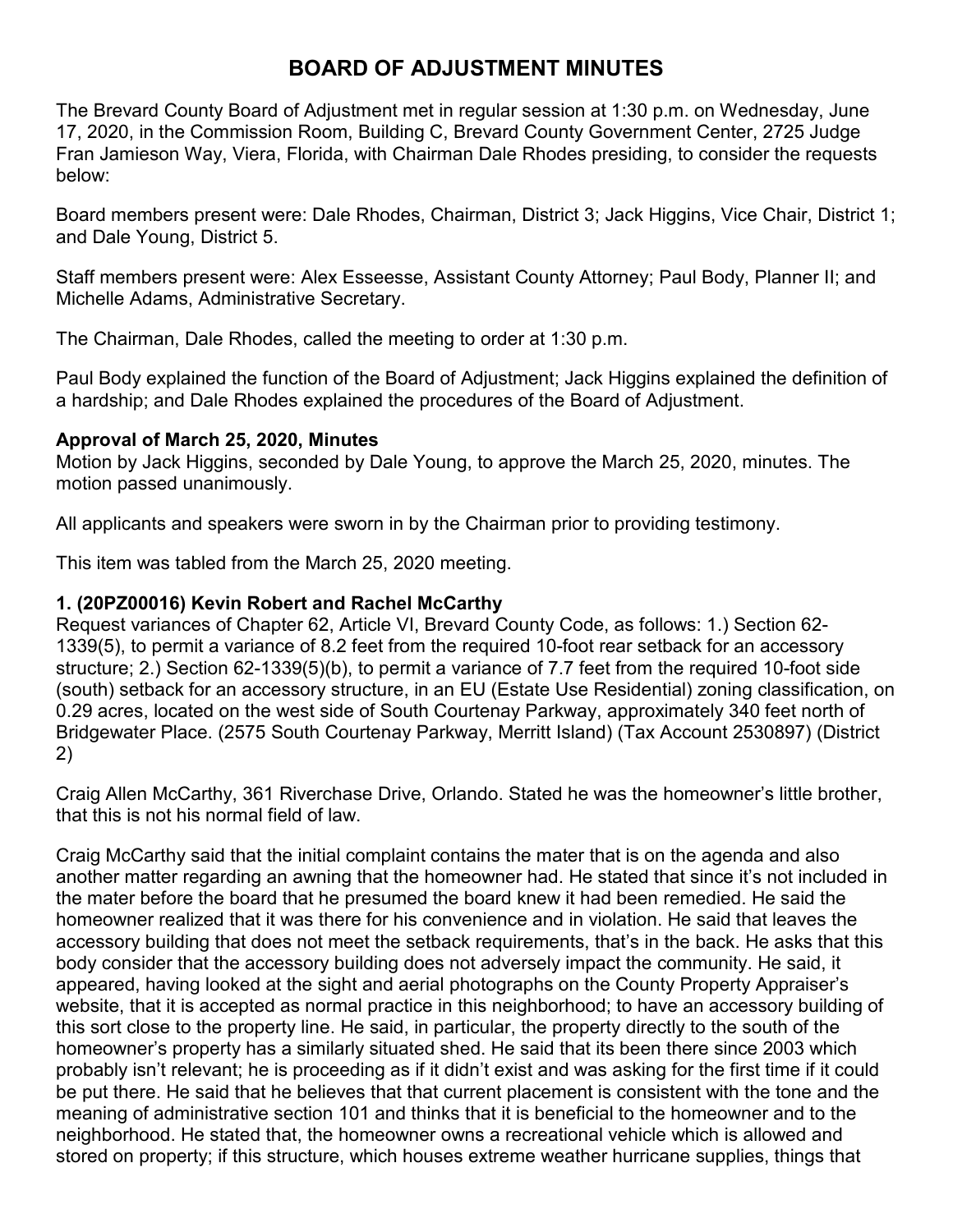# **BOARD OF ADJUSTMENT MINUTES**

The Brevard County Board of Adjustment met in regular session at 1:30 p.m. on Wednesday, June 17, 2020, in the Commission Room, Building C, Brevard County Government Center, 2725 Judge Fran Jamieson Way, Viera, Florida, with Chairman Dale Rhodes presiding, to consider the requests below:

Board members present were: Dale Rhodes, Chairman, District 3; Jack Higgins, Vice Chair, District 1; and Dale Young, District 5.

Staff members present were: Alex Esseesse, Assistant County Attorney; Paul Body, Planner II; and Michelle Adams, Administrative Secretary.

The Chairman, Dale Rhodes, called the meeting to order at 1:30 p.m.

Paul Body explained the function of the Board of Adjustment; Jack Higgins explained the definition of a hardship; and Dale Rhodes explained the procedures of the Board of Adjustment.

## **Approval of March 25, 2020, Minutes**

Motion by Jack Higgins, seconded by Dale Young, to approve the March 25, 2020, minutes. The motion passed unanimously.

All applicants and speakers were sworn in by the Chairman prior to providing testimony.

This item was tabled from the March 25, 2020 meeting.

## **1. (20PZ00016) Kevin Robert and Rachel McCarthy**

Request variances of Chapter 62, Article VI, Brevard County Code, as follows: 1.) Section 62- 1339(5), to permit a variance of 8.2 feet from the required 10-foot rear setback for an accessory structure; 2.) Section 62-1339(5)(b), to permit a variance of 7.7 feet from the required 10-foot side (south) setback for an accessory structure, in an EU (Estate Use Residential) zoning classification, on 0.29 acres, located on the west side of South Courtenay Parkway, approximately 340 feet north of Bridgewater Place. (2575 South Courtenay Parkway, Merritt Island) (Tax Account 2530897) (District 2)

Craig Allen McCarthy, 361 Riverchase Drive, Orlando. Stated he was the homeowner's little brother, that this is not his normal field of law.

Craig McCarthy said that the initial complaint contains the mater that is on the agenda and also another matter regarding an awning that the homeowner had. He stated that since it's not included in the mater before the board that he presumed the board knew it had been remedied. He said the homeowner realized that it was there for his convenience and in violation. He said that leaves the accessory building that does not meet the setback requirements, that's in the back. He asks that this body consider that the accessory building does not adversely impact the community. He said, it appeared, having looked at the sight and aerial photographs on the County Property Appraiser's website, that it is accepted as normal practice in this neighborhood; to have an accessory building of this sort close to the property line. He said, in particular, the property directly to the south of the homeowner's property has a similarly situated shed. He said that its been there since 2003 which probably isn't relevant; he is proceeding as if it didn't exist and was asking for the first time if it could be put there. He said that he believes that that current placement is consistent with the tone and the meaning of administrative section 101 and thinks that it is beneficial to the homeowner and to the neighborhood. He stated that, the homeowner owns a recreational vehicle which is allowed and stored on property; if this structure, which houses extreme weather hurricane supplies, things that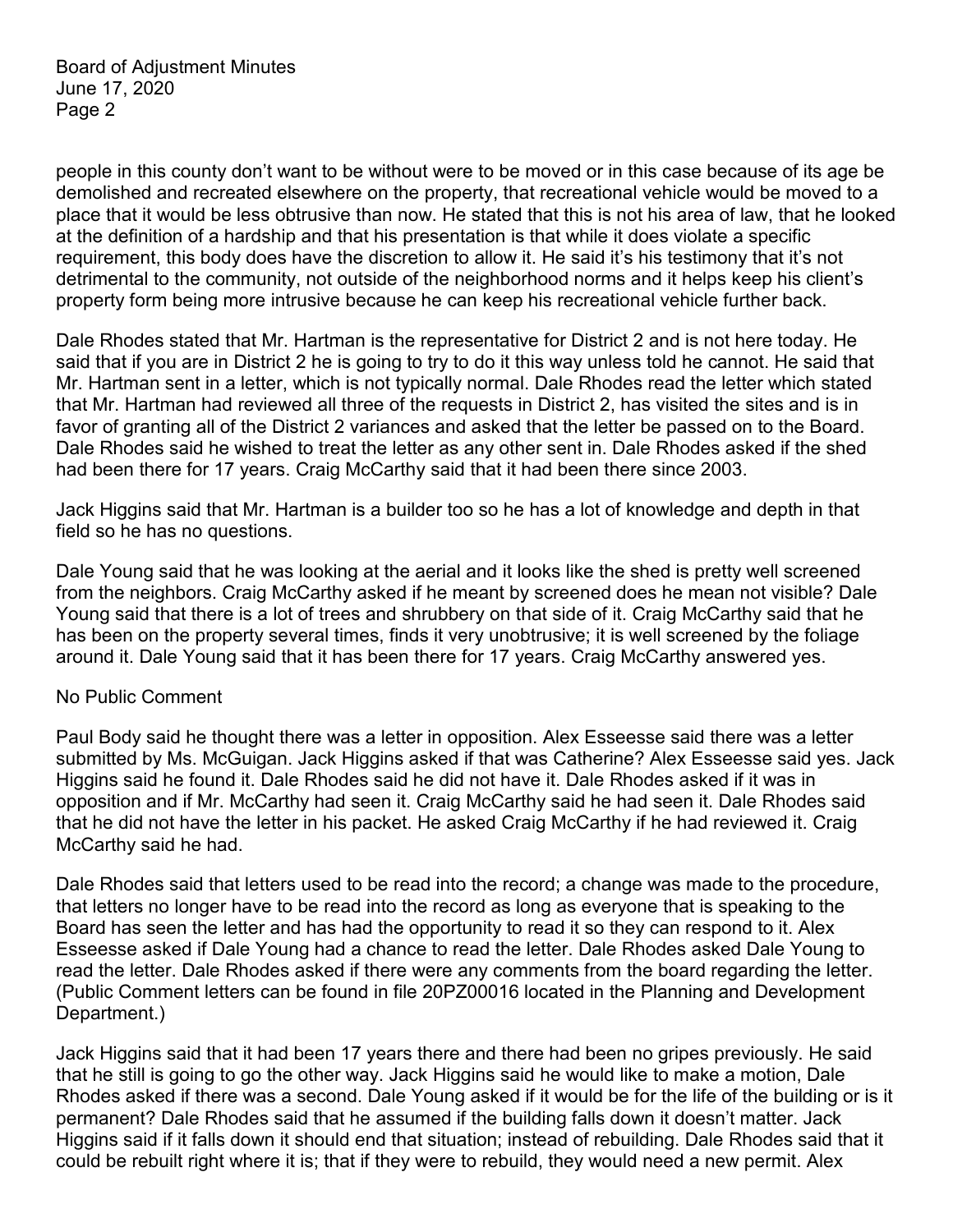people in this county don't want to be without were to be moved or in this case because of its age be demolished and recreated elsewhere on the property, that recreational vehicle would be moved to a place that it would be less obtrusive than now. He stated that this is not his area of law, that he looked at the definition of a hardship and that his presentation is that while it does violate a specific requirement, this body does have the discretion to allow it. He said it's his testimony that it's not detrimental to the community, not outside of the neighborhood norms and it helps keep his client's property form being more intrusive because he can keep his recreational vehicle further back.

Dale Rhodes stated that Mr. Hartman is the representative for District 2 and is not here today. He said that if you are in District 2 he is going to try to do it this way unless told he cannot. He said that Mr. Hartman sent in a letter, which is not typically normal. Dale Rhodes read the letter which stated that Mr. Hartman had reviewed all three of the requests in District 2, has visited the sites and is in favor of granting all of the District 2 variances and asked that the letter be passed on to the Board. Dale Rhodes said he wished to treat the letter as any other sent in. Dale Rhodes asked if the shed had been there for 17 years. Craig McCarthy said that it had been there since 2003.

Jack Higgins said that Mr. Hartman is a builder too so he has a lot of knowledge and depth in that field so he has no questions.

Dale Young said that he was looking at the aerial and it looks like the shed is pretty well screened from the neighbors. Craig McCarthy asked if he meant by screened does he mean not visible? Dale Young said that there is a lot of trees and shrubbery on that side of it. Craig McCarthy said that he has been on the property several times, finds it very unobtrusive; it is well screened by the foliage around it. Dale Young said that it has been there for 17 years. Craig McCarthy answered yes.

#### No Public Comment

Paul Body said he thought there was a letter in opposition. Alex Esseesse said there was a letter submitted by Ms. McGuigan. Jack Higgins asked if that was Catherine? Alex Esseesse said yes. Jack Higgins said he found it. Dale Rhodes said he did not have it. Dale Rhodes asked if it was in opposition and if Mr. McCarthy had seen it. Craig McCarthy said he had seen it. Dale Rhodes said that he did not have the letter in his packet. He asked Craig McCarthy if he had reviewed it. Craig McCarthy said he had.

Dale Rhodes said that letters used to be read into the record; a change was made to the procedure, that letters no longer have to be read into the record as long as everyone that is speaking to the Board has seen the letter and has had the opportunity to read it so they can respond to it. Alex Esseesse asked if Dale Young had a chance to read the letter. Dale Rhodes asked Dale Young to read the letter. Dale Rhodes asked if there were any comments from the board regarding the letter. (Public Comment letters can be found in file 20PZ00016 located in the Planning and Development Department.)

Jack Higgins said that it had been 17 years there and there had been no gripes previously. He said that he still is going to go the other way. Jack Higgins said he would like to make a motion, Dale Rhodes asked if there was a second. Dale Young asked if it would be for the life of the building or is it permanent? Dale Rhodes said that he assumed if the building falls down it doesn't matter. Jack Higgins said if it falls down it should end that situation; instead of rebuilding. Dale Rhodes said that it could be rebuilt right where it is; that if they were to rebuild, they would need a new permit. Alex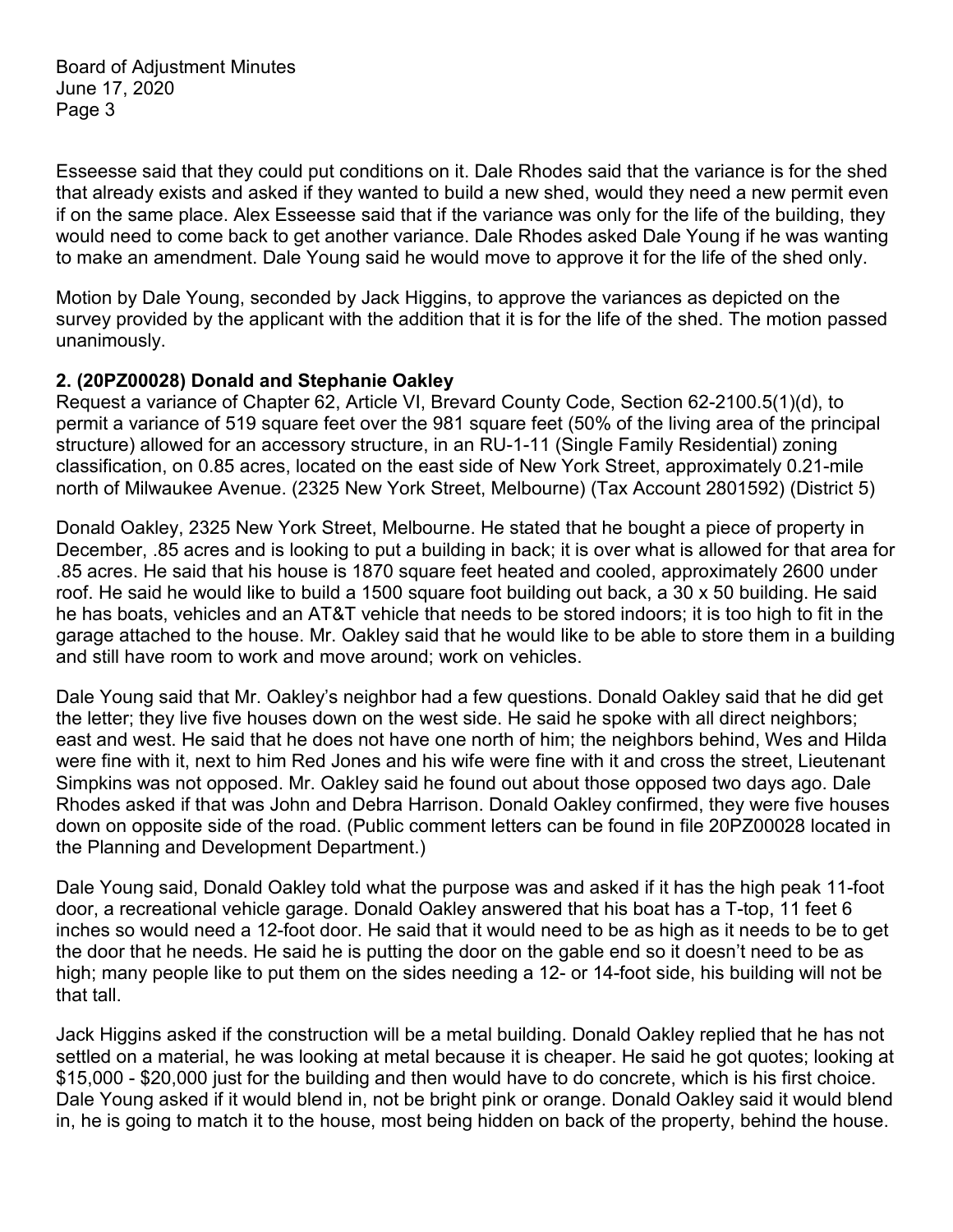Esseesse said that they could put conditions on it. Dale Rhodes said that the variance is for the shed that already exists and asked if they wanted to build a new shed, would they need a new permit even if on the same place. Alex Esseesse said that if the variance was only for the life of the building, they would need to come back to get another variance. Dale Rhodes asked Dale Young if he was wanting to make an amendment. Dale Young said he would move to approve it for the life of the shed only.

Motion by Dale Young, seconded by Jack Higgins, to approve the variances as depicted on the survey provided by the applicant with the addition that it is for the life of the shed. The motion passed unanimously.

### **2. (20PZ00028) Donald and Stephanie Oakley**

Request a variance of Chapter 62, Article VI, Brevard County Code, Section 62-2100.5(1)(d), to permit a variance of 519 square feet over the 981 square feet (50% of the living area of the principal structure) allowed for an accessory structure, in an RU-1-11 (Single Family Residential) zoning classification, on 0.85 acres, located on the east side of New York Street, approximately 0.21-mile north of Milwaukee Avenue. (2325 New York Street, Melbourne) (Tax Account 2801592) (District 5)

Donald Oakley, 2325 New York Street, Melbourne. He stated that he bought a piece of property in December, .85 acres and is looking to put a building in back; it is over what is allowed for that area for .85 acres. He said that his house is 1870 square feet heated and cooled, approximately 2600 under roof. He said he would like to build a 1500 square foot building out back, a 30 x 50 building. He said he has boats, vehicles and an AT&T vehicle that needs to be stored indoors; it is too high to fit in the garage attached to the house. Mr. Oakley said that he would like to be able to store them in a building and still have room to work and move around; work on vehicles.

Dale Young said that Mr. Oakley's neighbor had a few questions. Donald Oakley said that he did get the letter; they live five houses down on the west side. He said he spoke with all direct neighbors; east and west. He said that he does not have one north of him; the neighbors behind, Wes and Hilda were fine with it, next to him Red Jones and his wife were fine with it and cross the street, Lieutenant Simpkins was not opposed. Mr. Oakley said he found out about those opposed two days ago. Dale Rhodes asked if that was John and Debra Harrison. Donald Oakley confirmed, they were five houses down on opposite side of the road. (Public comment letters can be found in file 20PZ00028 located in the Planning and Development Department.)

Dale Young said, Donald Oakley told what the purpose was and asked if it has the high peak 11-foot door, a recreational vehicle garage. Donald Oakley answered that his boat has a T-top, 11 feet 6 inches so would need a 12-foot door. He said that it would need to be as high as it needs to be to get the door that he needs. He said he is putting the door on the gable end so it doesn't need to be as high; many people like to put them on the sides needing a 12- or 14-foot side, his building will not be that tall.

Jack Higgins asked if the construction will be a metal building. Donald Oakley replied that he has not settled on a material, he was looking at metal because it is cheaper. He said he got quotes; looking at \$15,000 - \$20,000 just for the building and then would have to do concrete, which is his first choice. Dale Young asked if it would blend in, not be bright pink or orange. Donald Oakley said it would blend in, he is going to match it to the house, most being hidden on back of the property, behind the house.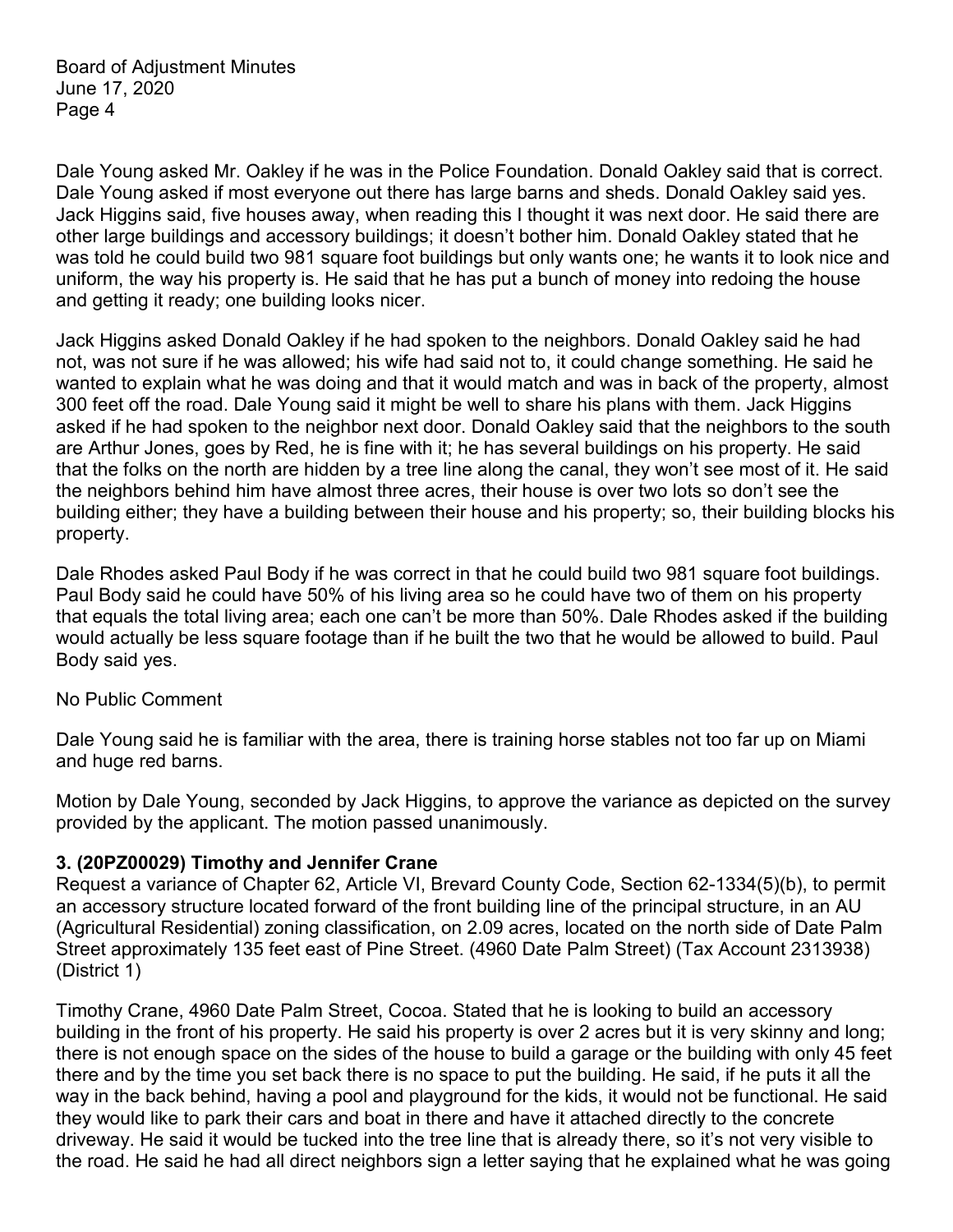Dale Young asked Mr. Oakley if he was in the Police Foundation. Donald Oakley said that is correct. Dale Young asked if most everyone out there has large barns and sheds. Donald Oakley said yes. Jack Higgins said, five houses away, when reading this I thought it was next door. He said there are other large buildings and accessory buildings; it doesn't bother him. Donald Oakley stated that he was told he could build two 981 square foot buildings but only wants one; he wants it to look nice and uniform, the way his property is. He said that he has put a bunch of money into redoing the house and getting it ready; one building looks nicer.

Jack Higgins asked Donald Oakley if he had spoken to the neighbors. Donald Oakley said he had not, was not sure if he was allowed; his wife had said not to, it could change something. He said he wanted to explain what he was doing and that it would match and was in back of the property, almost 300 feet off the road. Dale Young said it might be well to share his plans with them. Jack Higgins asked if he had spoken to the neighbor next door. Donald Oakley said that the neighbors to the south are Arthur Jones, goes by Red, he is fine with it; he has several buildings on his property. He said that the folks on the north are hidden by a tree line along the canal, they won't see most of it. He said the neighbors behind him have almost three acres, their house is over two lots so don't see the building either; they have a building between their house and his property; so, their building blocks his property.

Dale Rhodes asked Paul Body if he was correct in that he could build two 981 square foot buildings. Paul Body said he could have 50% of his living area so he could have two of them on his property that equals the total living area; each one can't be more than 50%. Dale Rhodes asked if the building would actually be less square footage than if he built the two that he would be allowed to build. Paul Body said yes.

#### No Public Comment

Dale Young said he is familiar with the area, there is training horse stables not too far up on Miami and huge red barns.

Motion by Dale Young, seconded by Jack Higgins, to approve the variance as depicted on the survey provided by the applicant. The motion passed unanimously.

#### **3. (20PZ00029) Timothy and Jennifer Crane**

Request a variance of Chapter 62, Article VI, Brevard County Code, Section 62-1334(5)(b), to permit an accessory structure located forward of the front building line of the principal structure, in an AU (Agricultural Residential) zoning classification, on 2.09 acres, located on the north side of Date Palm Street approximately 135 feet east of Pine Street. (4960 Date Palm Street) (Tax Account 2313938) (District 1)

Timothy Crane, 4960 Date Palm Street, Cocoa. Stated that he is looking to build an accessory building in the front of his property. He said his property is over 2 acres but it is very skinny and long; there is not enough space on the sides of the house to build a garage or the building with only 45 feet there and by the time you set back there is no space to put the building. He said, if he puts it all the way in the back behind, having a pool and playground for the kids, it would not be functional. He said they would like to park their cars and boat in there and have it attached directly to the concrete driveway. He said it would be tucked into the tree line that is already there, so it's not very visible to the road. He said he had all direct neighbors sign a letter saying that he explained what he was going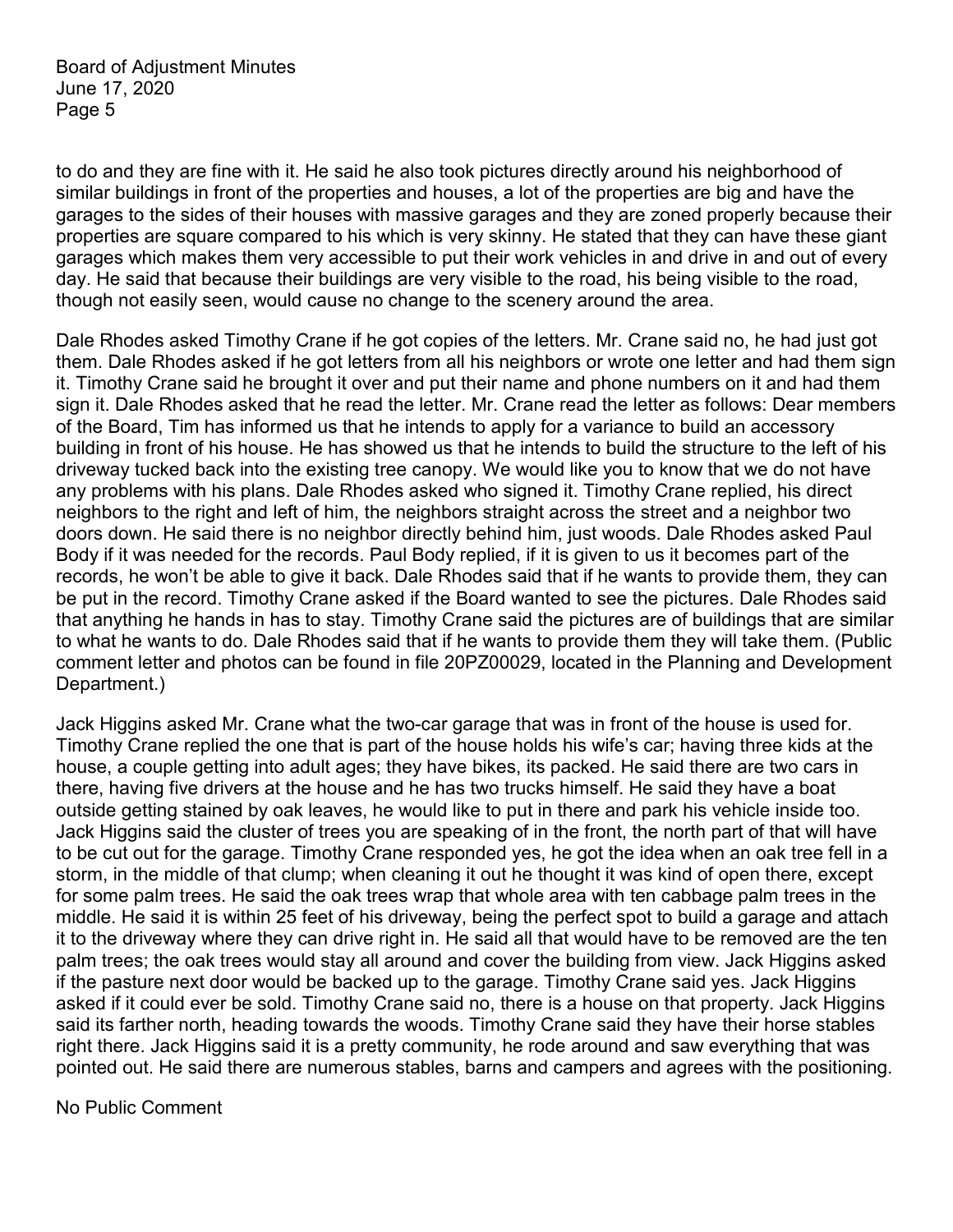to do and they are fine with it. He said he also took pictures directly around his neighborhood of similar buildings in front of the properties and houses, a lot of the properties are big and have the garages to the sides of their houses with massive garages and they are zoned properly because their properties are square compared to his which is very skinny. He stated that they can have these giant garages which makes them very accessible to put their work vehicles in and drive in and out of every day. He said that because their buildings are very visible to the road, his being visible to the road, though not easily seen, would cause no change to the scenery around the area.

Dale Rhodes asked Timothy Crane if he got copies of the letters. Mr. Crane said no, he had just got them. Dale Rhodes asked if he got letters from all his neighbors or wrote one letter and had them sign it. Timothy Crane said he brought it over and put their name and phone numbers on it and had them sign it. Dale Rhodes asked that he read the letter. Mr. Crane read the letter as follows: Dear members of the Board, Tim has informed us that he intends to apply for a variance to build an accessory building in front of his house. He has showed us that he intends to build the structure to the left of his driveway tucked back into the existing tree canopy. We would like you to know that we do not have any problems with his plans. Dale Rhodes asked who signed it. Timothy Crane replied, his direct neighbors to the right and left of him, the neighbors straight across the street and a neighbor two doors down. He said there is no neighbor directly behind him, just woods. Dale Rhodes asked Paul Body if it was needed for the records. Paul Body replied, if it is given to us it becomes part of the records, he won't be able to give it back. Dale Rhodes said that if he wants to provide them, they can be put in the record. Timothy Crane asked if the Board wanted to see the pictures. Dale Rhodes said that anything he hands in has to stay. Timothy Crane said the pictures are of buildings that are similar to what he wants to do. Dale Rhodes said that if he wants to provide them they will take them. (Public comment letter and photos can be found in file 20PZ00029, located in the Planning and Development Department.)

Jack Higgins asked Mr. Crane what the two-car garage that was in front of the house is used for. Timothy Crane replied the one that is part of the house holds his wife's car; having three kids at the house, a couple getting into adult ages; they have bikes, its packed. He said there are two cars in there, having five drivers at the house and he has two trucks himself. He said they have a boat outside getting stained by oak leaves, he would like to put in there and park his vehicle inside too. Jack Higgins said the cluster of trees you are speaking of in the front, the north part of that will have to be cut out for the garage. Timothy Crane responded yes, he got the idea when an oak tree fell in a storm, in the middle of that clump; when cleaning it out he thought it was kind of open there, except for some palm trees. He said the oak trees wrap that whole area with ten cabbage palm trees in the middle. He said it is within 25 feet of his driveway, being the perfect spot to build a garage and attach it to the driveway where they can drive right in. He said all that would have to be removed are the ten palm trees; the oak trees would stay all around and cover the building from view. Jack Higgins asked if the pasture next door would be backed up to the garage. Timothy Crane said yes. Jack Higgins asked if it could ever be sold. Timothy Crane said no, there is a house on that property. Jack Higgins said its farther north, heading towards the woods. Timothy Crane said they have their horse stables right there. Jack Higgins said it is a pretty community, he rode around and saw everything that was pointed out. He said there are numerous stables, barns and campers and agrees with the positioning.

No Public Comment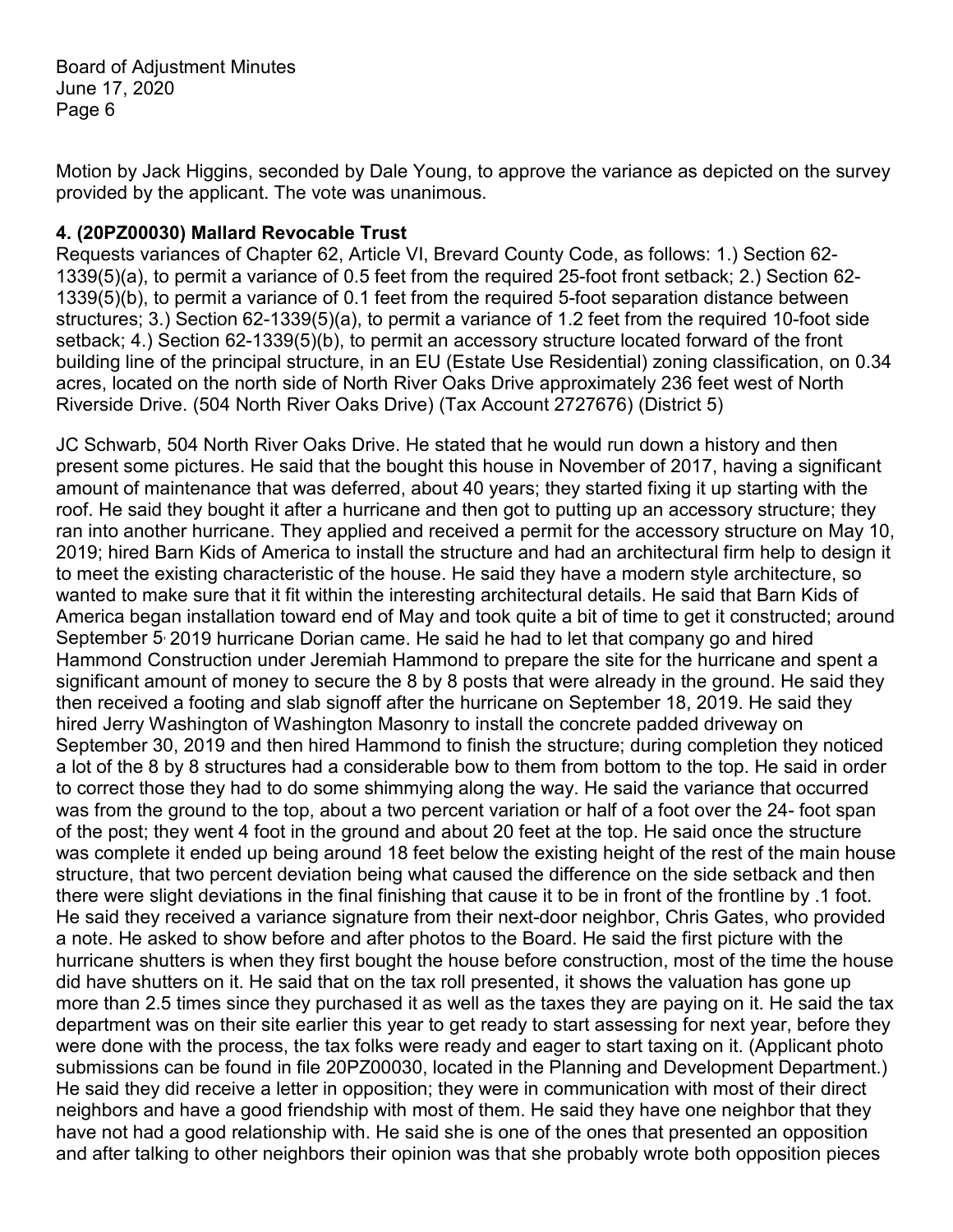Motion by Jack Higgins, seconded by Dale Young, to approve the variance as depicted on the survey provided by the applicant. The vote was unanimous.

### **4. (20PZ00030) Mallard Revocable Trust**

Requests variances of Chapter 62, Article VI, Brevard County Code, as follows: 1.) Section 62- 1339(5)(a), to permit a variance of 0.5 feet from the required 25-foot front setback; 2.) Section 62- 1339(5)(b), to permit a variance of 0.1 feet from the required 5-foot separation distance between structures; 3.) Section 62-1339(5)(a), to permit a variance of 1.2 feet from the required 10-foot side setback; 4.) Section 62-1339(5)(b), to permit an accessory structure located forward of the front building line of the principal structure, in an EU (Estate Use Residential) zoning classification, on 0.34 acres, located on the north side of North River Oaks Drive approximately 236 feet west of North Riverside Drive. (504 North River Oaks Drive) (Tax Account 2727676) (District 5)

JC Schwarb, 504 North River Oaks Drive. He stated that he would run down a history and then present some pictures. He said that the bought this house in November of 2017, having a significant amount of maintenance that was deferred, about 40 years; they started fixing it up starting with the roof. He said they bought it after a hurricane and then got to putting up an accessory structure; they ran into another hurricane. They applied and received a permit for the accessory structure on May 10, 2019; hired Barn Kids of America to install the structure and had an architectural firm help to design it to meet the existing characteristic of the house. He said they have a modern style architecture, so wanted to make sure that it fit within the interesting architectural details. He said that Barn Kids of America began installation toward end of May and took quite a bit of time to get it constructed; around September 5, 2019 hurricane Dorian came. He said he had to let that company go and hired Hammond Construction under Jeremiah Hammond to prepare the site for the hurricane and spent a significant amount of money to secure the 8 by 8 posts that were already in the ground. He said they then received a footing and slab signoff after the hurricane on September 18, 2019. He said they hired Jerry Washington of Washington Masonry to install the concrete padded driveway on September 30, 2019 and then hired Hammond to finish the structure; during completion they noticed a lot of the 8 by 8 structures had a considerable bow to them from bottom to the top. He said in order to correct those they had to do some shimmying along the way. He said the variance that occurred was from the ground to the top, about a two percent variation or half of a foot over the 24- foot span of the post; they went 4 foot in the ground and about 20 feet at the top. He said once the structure was complete it ended up being around 18 feet below the existing height of the rest of the main house structure, that two percent deviation being what caused the difference on the side setback and then there were slight deviations in the final finishing that cause it to be in front of the frontline by .1 foot. He said they received a variance signature from their next-door neighbor, Chris Gates, who provided a note. He asked to show before and after photos to the Board. He said the first picture with the hurricane shutters is when they first bought the house before construction, most of the time the house did have shutters on it. He said that on the tax roll presented, it shows the valuation has gone up more than 2.5 times since they purchased it as well as the taxes they are paying on it. He said the tax department was on their site earlier this year to get ready to start assessing for next year, before they were done with the process, the tax folks were ready and eager to start taxing on it. (Applicant photo submissions can be found in file 20PZ00030, located in the Planning and Development Department.) He said they did receive a letter in opposition; they were in communication with most of their direct neighbors and have a good friendship with most of them. He said they have one neighbor that they have not had a good relationship with. He said she is one of the ones that presented an opposition and after talking to other neighbors their opinion was that she probably wrote both opposition pieces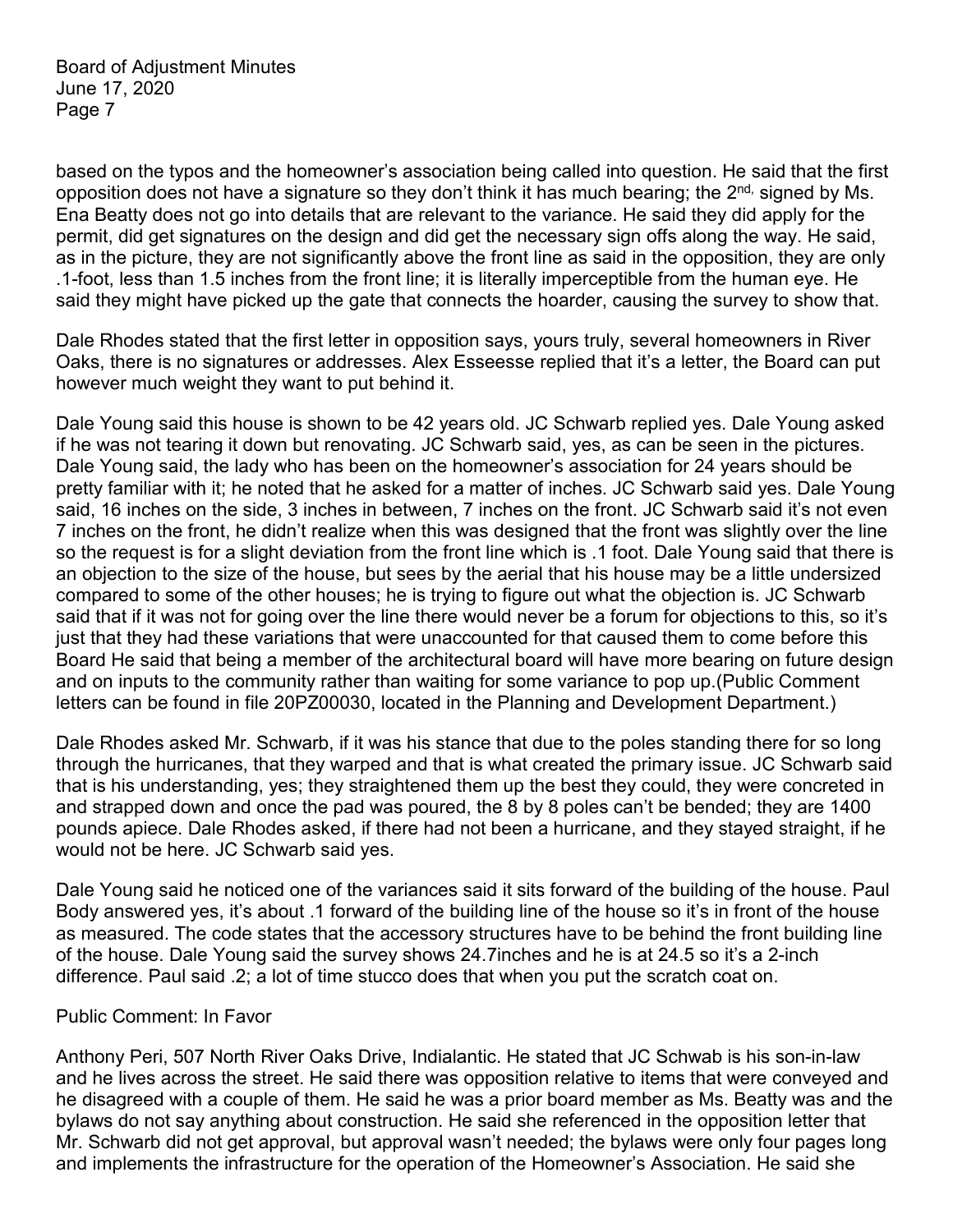based on the typos and the homeowner's association being called into question. He said that the first opposition does not have a signature so they don't think it has much bearing; the  $2^{nd}$ , signed by Ms. Ena Beatty does not go into details that are relevant to the variance. He said they did apply for the permit, did get signatures on the design and did get the necessary sign offs along the way. He said, as in the picture, they are not significantly above the front line as said in the opposition, they are only .1-foot, less than 1.5 inches from the front line; it is literally imperceptible from the human eye. He said they might have picked up the gate that connects the hoarder, causing the survey to show that.

Dale Rhodes stated that the first letter in opposition says, yours truly, several homeowners in River Oaks, there is no signatures or addresses. Alex Esseesse replied that it's a letter, the Board can put however much weight they want to put behind it.

Dale Young said this house is shown to be 42 years old. JC Schwarb replied yes. Dale Young asked if he was not tearing it down but renovating. JC Schwarb said, yes, as can be seen in the pictures. Dale Young said, the lady who has been on the homeowner's association for 24 years should be pretty familiar with it; he noted that he asked for a matter of inches. JC Schwarb said yes. Dale Young said, 16 inches on the side, 3 inches in between, 7 inches on the front. JC Schwarb said it's not even 7 inches on the front, he didn't realize when this was designed that the front was slightly over the line so the request is for a slight deviation from the front line which is .1 foot. Dale Young said that there is an objection to the size of the house, but sees by the aerial that his house may be a little undersized compared to some of the other houses; he is trying to figure out what the objection is. JC Schwarb said that if it was not for going over the line there would never be a forum for objections to this, so it's just that they had these variations that were unaccounted for that caused them to come before this Board He said that being a member of the architectural board will have more bearing on future design and on inputs to the community rather than waiting for some variance to pop up.(Public Comment letters can be found in file 20PZ00030, located in the Planning and Development Department.)

Dale Rhodes asked Mr. Schwarb, if it was his stance that due to the poles standing there for so long through the hurricanes, that they warped and that is what created the primary issue. JC Schwarb said that is his understanding, yes; they straightened them up the best they could, they were concreted in and strapped down and once the pad was poured, the 8 by 8 poles can't be bended; they are 1400 pounds apiece. Dale Rhodes asked, if there had not been a hurricane, and they stayed straight, if he would not be here. JC Schwarb said yes.

Dale Young said he noticed one of the variances said it sits forward of the building of the house. Paul Body answered yes, it's about .1 forward of the building line of the house so it's in front of the house as measured. The code states that the accessory structures have to be behind the front building line of the house. Dale Young said the survey shows 24.7inches and he is at 24.5 so it's a 2-inch difference. Paul said .2; a lot of time stucco does that when you put the scratch coat on.

#### Public Comment: In Favor

Anthony Peri, 507 North River Oaks Drive, Indialantic. He stated that JC Schwab is his son-in-law and he lives across the street. He said there was opposition relative to items that were conveyed and he disagreed with a couple of them. He said he was a prior board member as Ms. Beatty was and the bylaws do not say anything about construction. He said she referenced in the opposition letter that Mr. Schwarb did not get approval, but approval wasn't needed; the bylaws were only four pages long and implements the infrastructure for the operation of the Homeowner's Association. He said she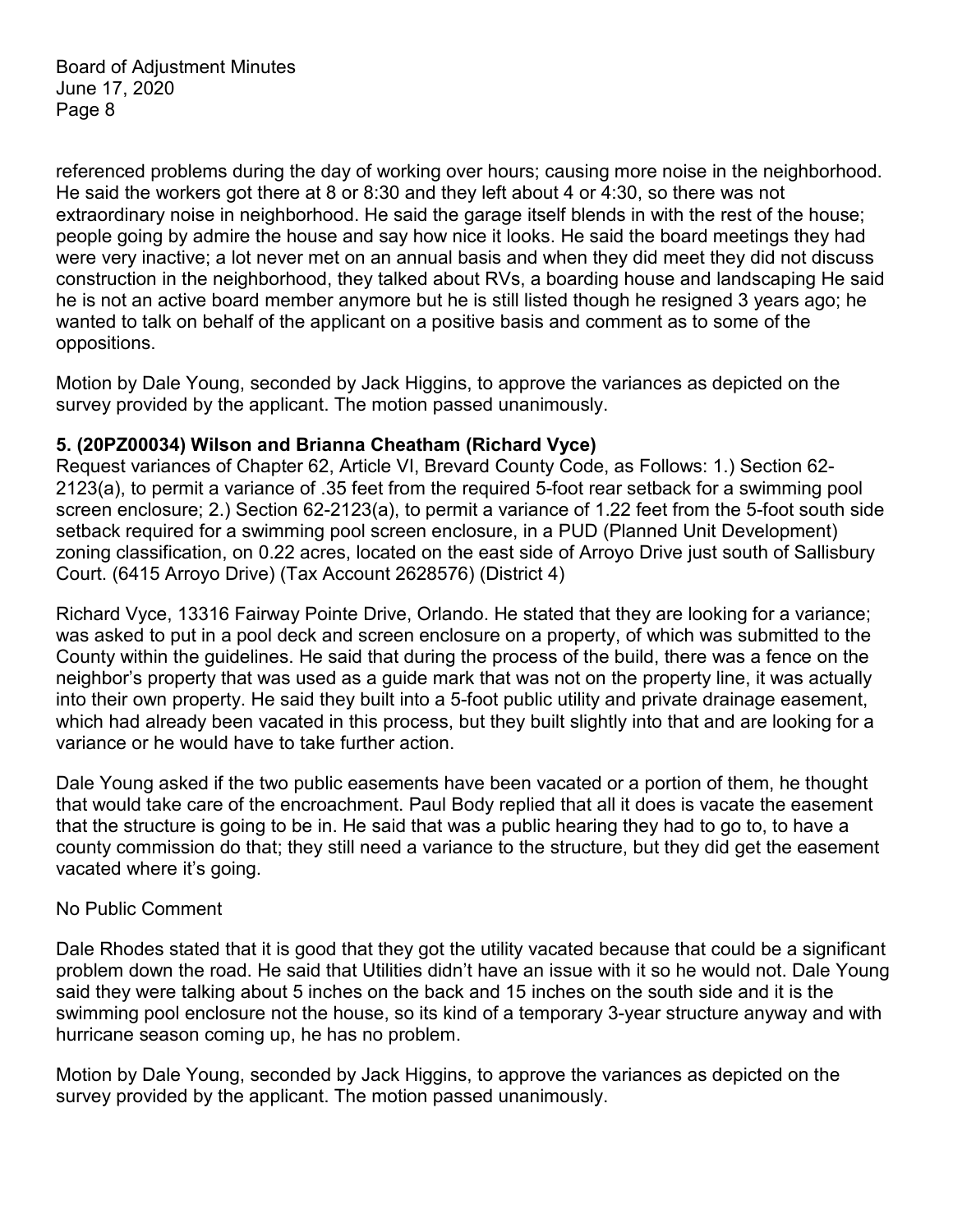referenced problems during the day of working over hours; causing more noise in the neighborhood. He said the workers got there at 8 or 8:30 and they left about 4 or 4:30, so there was not extraordinary noise in neighborhood. He said the garage itself blends in with the rest of the house; people going by admire the house and say how nice it looks. He said the board meetings they had were very inactive; a lot never met on an annual basis and when they did meet they did not discuss construction in the neighborhood, they talked about RVs, a boarding house and landscaping He said he is not an active board member anymore but he is still listed though he resigned 3 years ago; he wanted to talk on behalf of the applicant on a positive basis and comment as to some of the oppositions.

Motion by Dale Young, seconded by Jack Higgins, to approve the variances as depicted on the survey provided by the applicant. The motion passed unanimously.

### **5. (20PZ00034) Wilson and Brianna Cheatham (Richard Vyce)**

Request variances of Chapter 62, Article VI, Brevard County Code, as Follows: 1.) Section 62- 2123(a), to permit a variance of .35 feet from the required 5-foot rear setback for a swimming pool screen enclosure; 2.) Section 62-2123(a), to permit a variance of 1.22 feet from the 5-foot south side setback required for a swimming pool screen enclosure, in a PUD (Planned Unit Development) zoning classification, on 0.22 acres, located on the east side of Arroyo Drive just south of Sallisbury Court. (6415 Arroyo Drive) (Tax Account 2628576) (District 4)

Richard Vyce, 13316 Fairway Pointe Drive, Orlando. He stated that they are looking for a variance; was asked to put in a pool deck and screen enclosure on a property, of which was submitted to the County within the guidelines. He said that during the process of the build, there was a fence on the neighbor's property that was used as a guide mark that was not on the property line, it was actually into their own property. He said they built into a 5-foot public utility and private drainage easement, which had already been vacated in this process, but they built slightly into that and are looking for a variance or he would have to take further action.

Dale Young asked if the two public easements have been vacated or a portion of them, he thought that would take care of the encroachment. Paul Body replied that all it does is vacate the easement that the structure is going to be in. He said that was a public hearing they had to go to, to have a county commission do that; they still need a variance to the structure, but they did get the easement vacated where it's going.

#### No Public Comment

Dale Rhodes stated that it is good that they got the utility vacated because that could be a significant problem down the road. He said that Utilities didn't have an issue with it so he would not. Dale Young said they were talking about 5 inches on the back and 15 inches on the south side and it is the swimming pool enclosure not the house, so its kind of a temporary 3-year structure anyway and with hurricane season coming up, he has no problem.

Motion by Dale Young, seconded by Jack Higgins, to approve the variances as depicted on the survey provided by the applicant. The motion passed unanimously.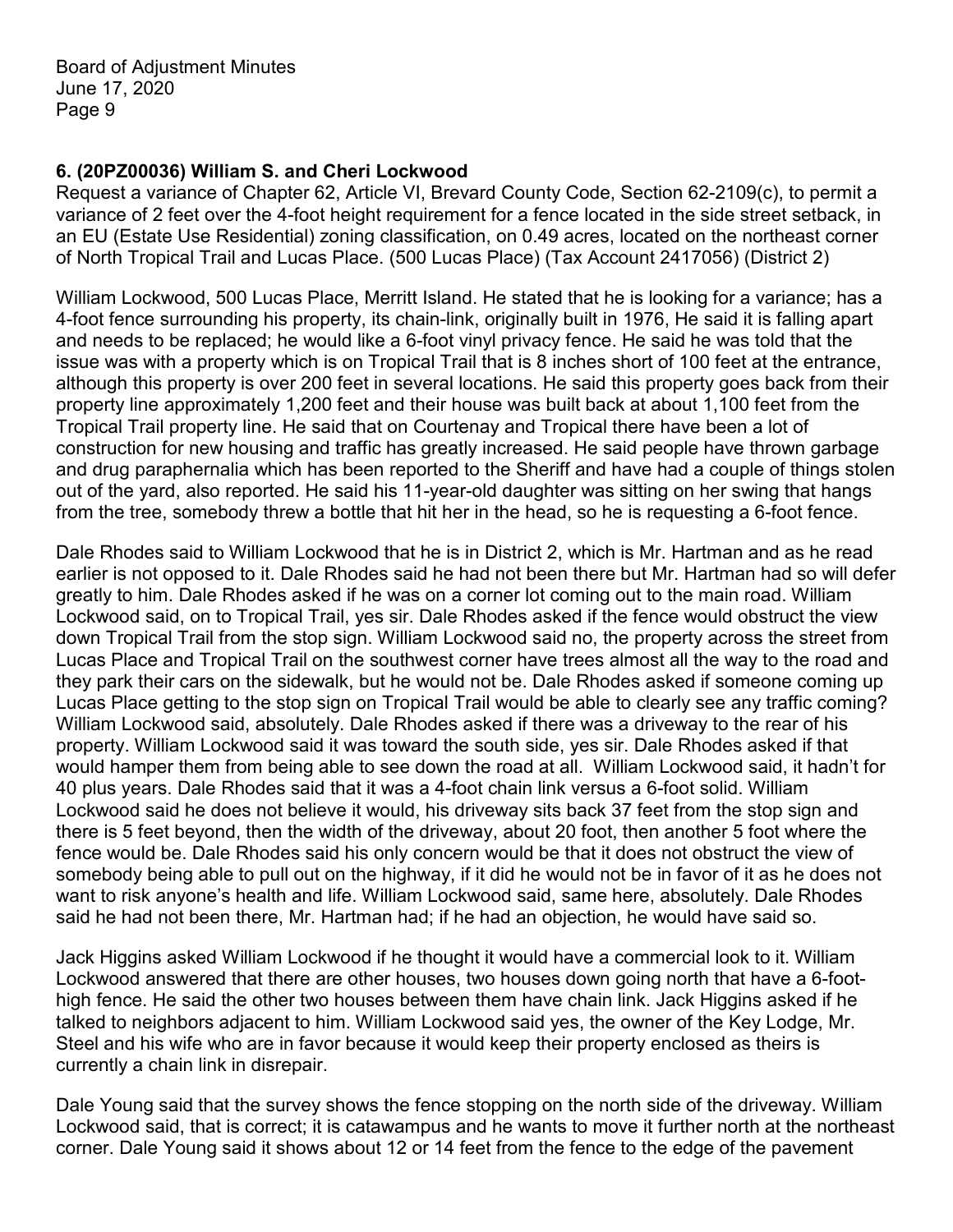## **6. (20PZ00036) William S. and Cheri Lockwood**

Request a variance of Chapter 62, Article VI, Brevard County Code, Section 62-2109(c), to permit a variance of 2 feet over the 4-foot height requirement for a fence located in the side street setback, in an EU (Estate Use Residential) zoning classification, on 0.49 acres, located on the northeast corner of North Tropical Trail and Lucas Place. (500 Lucas Place) (Tax Account 2417056) (District 2)

William Lockwood, 500 Lucas Place, Merritt Island. He stated that he is looking for a variance; has a 4-foot fence surrounding his property, its chain-link, originally built in 1976, He said it is falling apart and needs to be replaced; he would like a 6-foot vinyl privacy fence. He said he was told that the issue was with a property which is on Tropical Trail that is 8 inches short of 100 feet at the entrance, although this property is over 200 feet in several locations. He said this property goes back from their property line approximately 1,200 feet and their house was built back at about 1,100 feet from the Tropical Trail property line. He said that on Courtenay and Tropical there have been a lot of construction for new housing and traffic has greatly increased. He said people have thrown garbage and drug paraphernalia which has been reported to the Sheriff and have had a couple of things stolen out of the yard, also reported. He said his 11-year-old daughter was sitting on her swing that hangs from the tree, somebody threw a bottle that hit her in the head, so he is requesting a 6-foot fence.

Dale Rhodes said to William Lockwood that he is in District 2, which is Mr. Hartman and as he read earlier is not opposed to it. Dale Rhodes said he had not been there but Mr. Hartman had so will defer greatly to him. Dale Rhodes asked if he was on a corner lot coming out to the main road. William Lockwood said, on to Tropical Trail, yes sir. Dale Rhodes asked if the fence would obstruct the view down Tropical Trail from the stop sign. William Lockwood said no, the property across the street from Lucas Place and Tropical Trail on the southwest corner have trees almost all the way to the road and they park their cars on the sidewalk, but he would not be. Dale Rhodes asked if someone coming up Lucas Place getting to the stop sign on Tropical Trail would be able to clearly see any traffic coming? William Lockwood said, absolutely. Dale Rhodes asked if there was a driveway to the rear of his property. William Lockwood said it was toward the south side, yes sir. Dale Rhodes asked if that would hamper them from being able to see down the road at all. William Lockwood said, it hadn't for 40 plus years. Dale Rhodes said that it was a 4-foot chain link versus a 6-foot solid. William Lockwood said he does not believe it would, his driveway sits back 37 feet from the stop sign and there is 5 feet beyond, then the width of the driveway, about 20 foot, then another 5 foot where the fence would be. Dale Rhodes said his only concern would be that it does not obstruct the view of somebody being able to pull out on the highway, if it did he would not be in favor of it as he does not want to risk anyone's health and life. William Lockwood said, same here, absolutely. Dale Rhodes said he had not been there, Mr. Hartman had; if he had an objection, he would have said so.

Jack Higgins asked William Lockwood if he thought it would have a commercial look to it. William Lockwood answered that there are other houses, two houses down going north that have a 6-foothigh fence. He said the other two houses between them have chain link. Jack Higgins asked if he talked to neighbors adjacent to him. William Lockwood said yes, the owner of the Key Lodge, Mr. Steel and his wife who are in favor because it would keep their property enclosed as theirs is currently a chain link in disrepair.

Dale Young said that the survey shows the fence stopping on the north side of the driveway. William Lockwood said, that is correct; it is catawampus and he wants to move it further north at the northeast corner. Dale Young said it shows about 12 or 14 feet from the fence to the edge of the pavement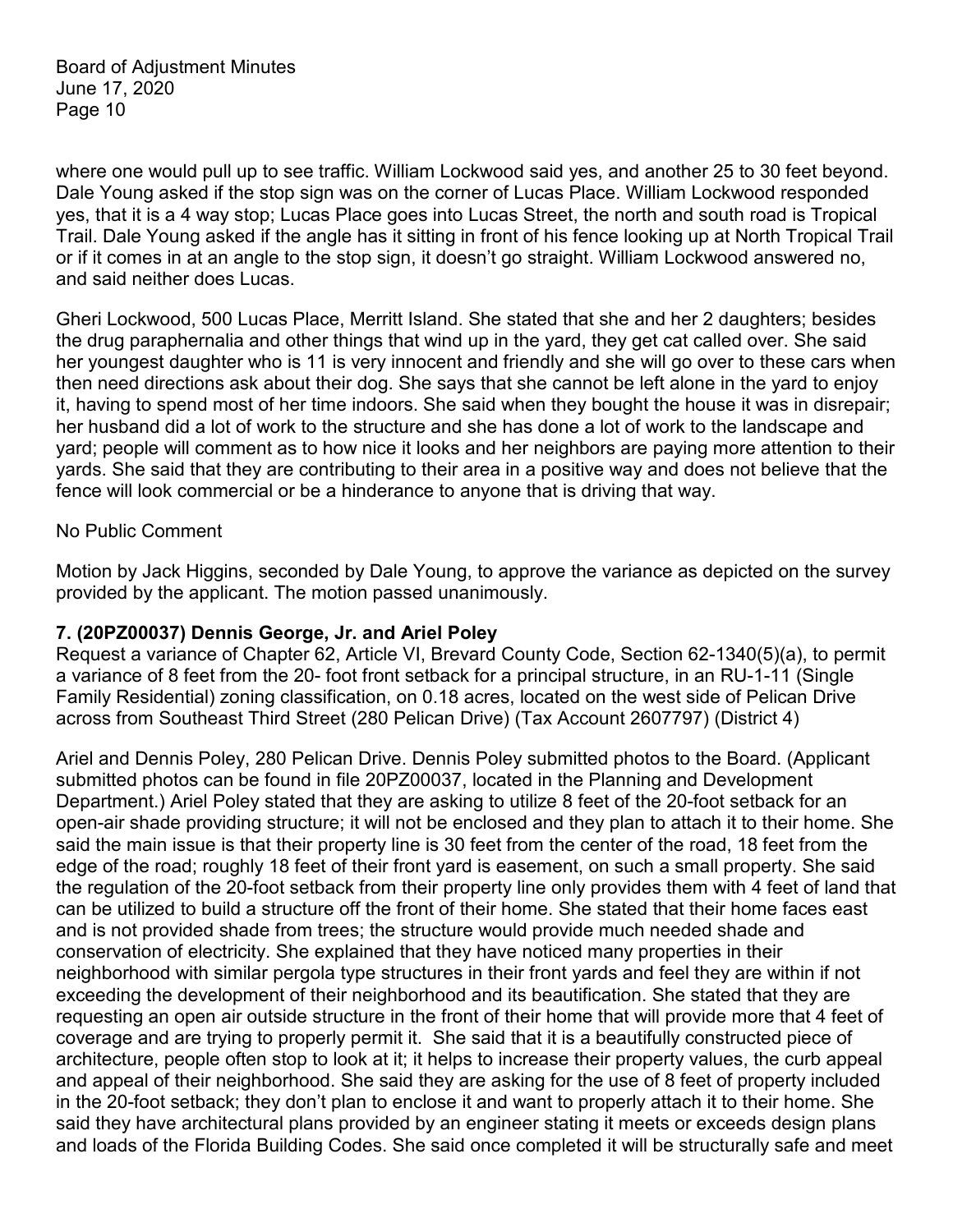where one would pull up to see traffic. William Lockwood said yes, and another 25 to 30 feet beyond. Dale Young asked if the stop sign was on the corner of Lucas Place. William Lockwood responded yes, that it is a 4 way stop; Lucas Place goes into Lucas Street, the north and south road is Tropical Trail. Dale Young asked if the angle has it sitting in front of his fence looking up at North Tropical Trail or if it comes in at an angle to the stop sign, it doesn't go straight. William Lockwood answered no, and said neither does Lucas.

Gheri Lockwood, 500 Lucas Place, Merritt Island. She stated that she and her 2 daughters; besides the drug paraphernalia and other things that wind up in the yard, they get cat called over. She said her youngest daughter who is 11 is very innocent and friendly and she will go over to these cars when then need directions ask about their dog. She says that she cannot be left alone in the yard to enjoy it, having to spend most of her time indoors. She said when they bought the house it was in disrepair; her husband did a lot of work to the structure and she has done a lot of work to the landscape and yard; people will comment as to how nice it looks and her neighbors are paying more attention to their yards. She said that they are contributing to their area in a positive way and does not believe that the fence will look commercial or be a hinderance to anyone that is driving that way.

#### No Public Comment

Motion by Jack Higgins, seconded by Dale Young, to approve the variance as depicted on the survey provided by the applicant. The motion passed unanimously.

#### **7. (20PZ00037) Dennis George, Jr. and Ariel Poley**

Request a variance of Chapter 62, Article VI, Brevard County Code, Section 62-1340(5)(a), to permit a variance of 8 feet from the 20- foot front setback for a principal structure, in an RU-1-11 (Single Family Residential) zoning classification, on 0.18 acres, located on the west side of Pelican Drive across from Southeast Third Street (280 Pelican Drive) (Tax Account 2607797) (District 4)

Ariel and Dennis Poley, 280 Pelican Drive. Dennis Poley submitted photos to the Board. (Applicant submitted photos can be found in file 20PZ00037, located in the Planning and Development Department.) Ariel Poley stated that they are asking to utilize 8 feet of the 20-foot setback for an open-air shade providing structure; it will not be enclosed and they plan to attach it to their home. She said the main issue is that their property line is 30 feet from the center of the road, 18 feet from the edge of the road; roughly 18 feet of their front yard is easement, on such a small property. She said the regulation of the 20-foot setback from their property line only provides them with 4 feet of land that can be utilized to build a structure off the front of their home. She stated that their home faces east and is not provided shade from trees; the structure would provide much needed shade and conservation of electricity. She explained that they have noticed many properties in their neighborhood with similar pergola type structures in their front yards and feel they are within if not exceeding the development of their neighborhood and its beautification. She stated that they are requesting an open air outside structure in the front of their home that will provide more that 4 feet of coverage and are trying to properly permit it. She said that it is a beautifully constructed piece of architecture, people often stop to look at it; it helps to increase their property values, the curb appeal and appeal of their neighborhood. She said they are asking for the use of 8 feet of property included in the 20-foot setback; they don't plan to enclose it and want to properly attach it to their home. She said they have architectural plans provided by an engineer stating it meets or exceeds design plans and loads of the Florida Building Codes. She said once completed it will be structurally safe and meet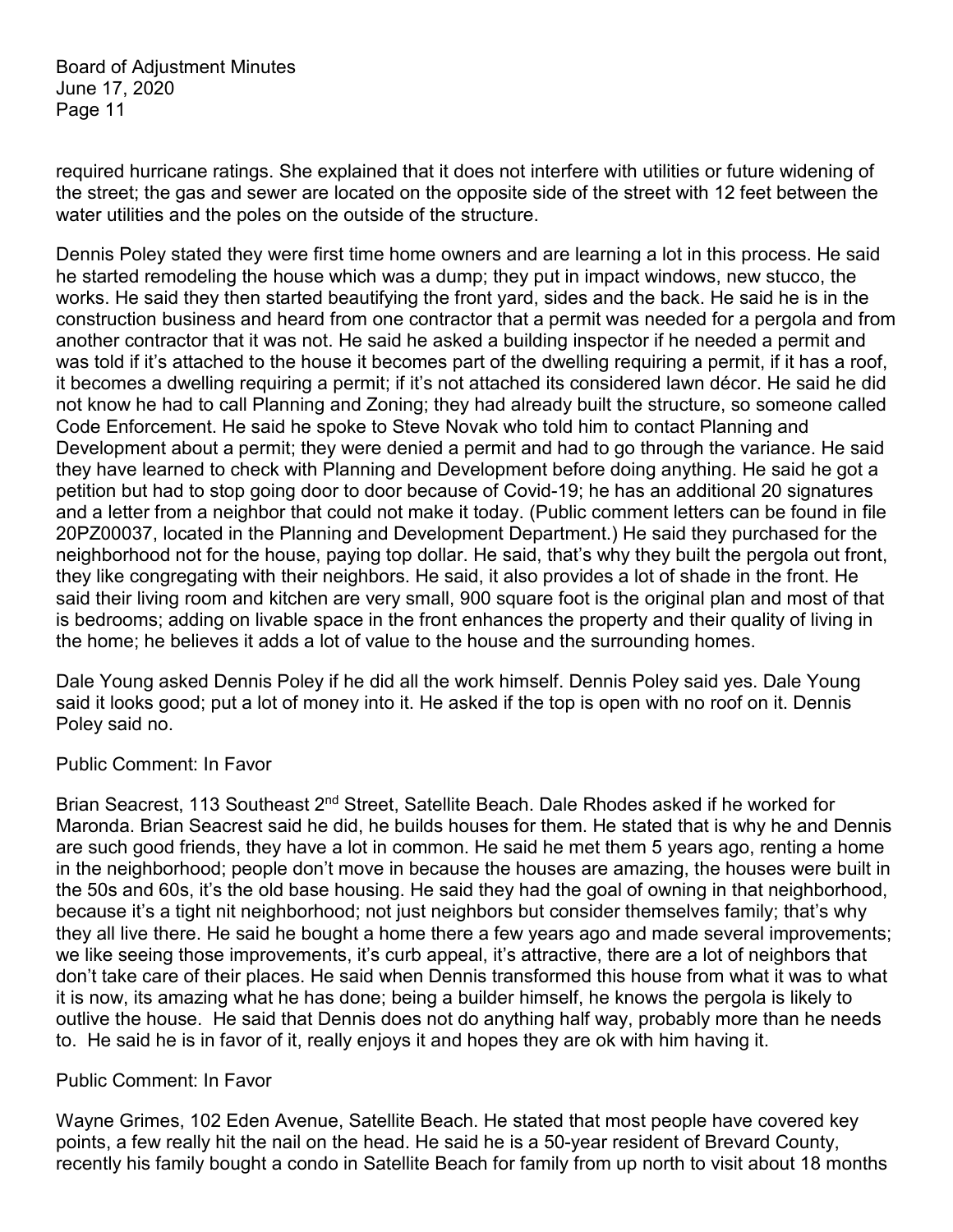required hurricane ratings. She explained that it does not interfere with utilities or future widening of the street; the gas and sewer are located on the opposite side of the street with 12 feet between the water utilities and the poles on the outside of the structure.

Dennis Poley stated they were first time home owners and are learning a lot in this process. He said he started remodeling the house which was a dump; they put in impact windows, new stucco, the works. He said they then started beautifying the front yard, sides and the back. He said he is in the construction business and heard from one contractor that a permit was needed for a pergola and from another contractor that it was not. He said he asked a building inspector if he needed a permit and was told if it's attached to the house it becomes part of the dwelling requiring a permit, if it has a roof, it becomes a dwelling requiring a permit; if it's not attached its considered lawn décor. He said he did not know he had to call Planning and Zoning; they had already built the structure, so someone called Code Enforcement. He said he spoke to Steve Novak who told him to contact Planning and Development about a permit; they were denied a permit and had to go through the variance. He said they have learned to check with Planning and Development before doing anything. He said he got a petition but had to stop going door to door because of Covid-19; he has an additional 20 signatures and a letter from a neighbor that could not make it today. (Public comment letters can be found in file 20PZ00037, located in the Planning and Development Department.) He said they purchased for the neighborhood not for the house, paying top dollar. He said, that's why they built the pergola out front, they like congregating with their neighbors. He said, it also provides a lot of shade in the front. He said their living room and kitchen are very small, 900 square foot is the original plan and most of that is bedrooms; adding on livable space in the front enhances the property and their quality of living in the home; he believes it adds a lot of value to the house and the surrounding homes.

Dale Young asked Dennis Poley if he did all the work himself. Dennis Poley said yes. Dale Young said it looks good; put a lot of money into it. He asked if the top is open with no roof on it. Dennis Poley said no.

#### Public Comment: In Favor

Brian Seacrest, 113 Southeast 2<sup>nd</sup> Street, Satellite Beach. Dale Rhodes asked if he worked for Maronda. Brian Seacrest said he did, he builds houses for them. He stated that is why he and Dennis are such good friends, they have a lot in common. He said he met them 5 years ago, renting a home in the neighborhood; people don't move in because the houses are amazing, the houses were built in the 50s and 60s, it's the old base housing. He said they had the goal of owning in that neighborhood, because it's a tight nit neighborhood; not just neighbors but consider themselves family; that's why they all live there. He said he bought a home there a few years ago and made several improvements; we like seeing those improvements, it's curb appeal, it's attractive, there are a lot of neighbors that don't take care of their places. He said when Dennis transformed this house from what it was to what it is now, its amazing what he has done; being a builder himself, he knows the pergola is likely to outlive the house. He said that Dennis does not do anything half way, probably more than he needs to. He said he is in favor of it, really enjoys it and hopes they are ok with him having it.

#### Public Comment: In Favor

Wayne Grimes, 102 Eden Avenue, Satellite Beach. He stated that most people have covered key points, a few really hit the nail on the head. He said he is a 50-year resident of Brevard County, recently his family bought a condo in Satellite Beach for family from up north to visit about 18 months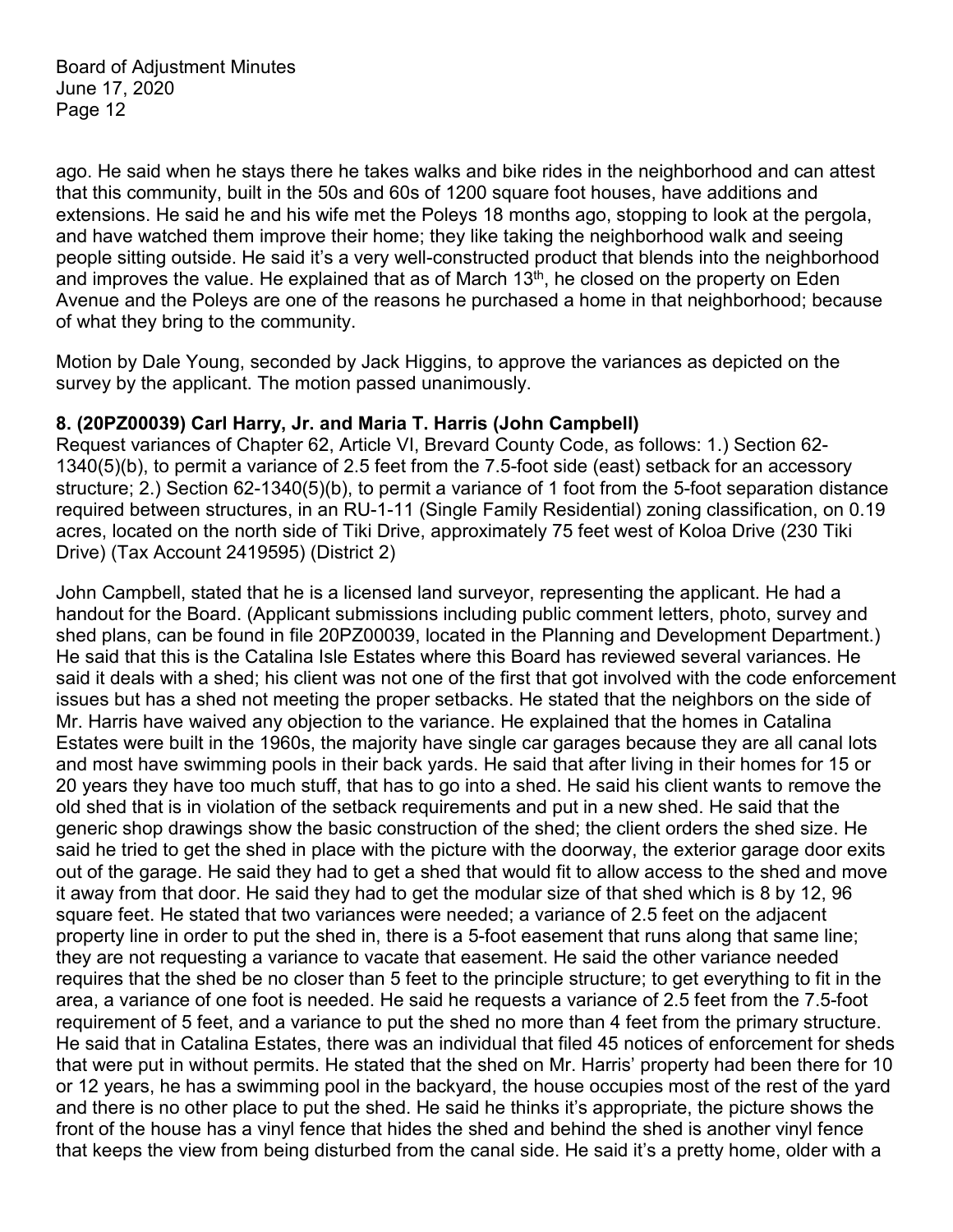ago. He said when he stays there he takes walks and bike rides in the neighborhood and can attest that this community, built in the 50s and 60s of 1200 square foot houses, have additions and extensions. He said he and his wife met the Poleys 18 months ago, stopping to look at the pergola, and have watched them improve their home; they like taking the neighborhood walk and seeing people sitting outside. He said it's a very well-constructed product that blends into the neighborhood and improves the value. He explained that as of March  $13<sup>th</sup>$ , he closed on the property on Eden Avenue and the Poleys are one of the reasons he purchased a home in that neighborhood; because of what they bring to the community.

Motion by Dale Young, seconded by Jack Higgins, to approve the variances as depicted on the survey by the applicant. The motion passed unanimously.

### **8. (20PZ00039) Carl Harry, Jr. and Maria T. Harris (John Campbell)**

Request variances of Chapter 62, Article VI, Brevard County Code, as follows: 1.) Section 62- 1340(5)(b), to permit a variance of 2.5 feet from the 7.5-foot side (east) setback for an accessory structure; 2.) Section 62-1340(5)(b), to permit a variance of 1 foot from the 5-foot separation distance required between structures, in an RU-1-11 (Single Family Residential) zoning classification, on 0.19 acres, located on the north side of Tiki Drive, approximately 75 feet west of Koloa Drive (230 Tiki Drive) (Tax Account 2419595) (District 2)

John Campbell, stated that he is a licensed land surveyor, representing the applicant. He had a handout for the Board. (Applicant submissions including public comment letters, photo, survey and shed plans, can be found in file 20PZ00039, located in the Planning and Development Department.) He said that this is the Catalina Isle Estates where this Board has reviewed several variances. He said it deals with a shed; his client was not one of the first that got involved with the code enforcement issues but has a shed not meeting the proper setbacks. He stated that the neighbors on the side of Mr. Harris have waived any objection to the variance. He explained that the homes in Catalina Estates were built in the 1960s, the majority have single car garages because they are all canal lots and most have swimming pools in their back yards. He said that after living in their homes for 15 or 20 years they have too much stuff, that has to go into a shed. He said his client wants to remove the old shed that is in violation of the setback requirements and put in a new shed. He said that the generic shop drawings show the basic construction of the shed; the client orders the shed size. He said he tried to get the shed in place with the picture with the doorway, the exterior garage door exits out of the garage. He said they had to get a shed that would fit to allow access to the shed and move it away from that door. He said they had to get the modular size of that shed which is 8 by 12, 96 square feet. He stated that two variances were needed; a variance of 2.5 feet on the adjacent property line in order to put the shed in, there is a 5-foot easement that runs along that same line; they are not requesting a variance to vacate that easement. He said the other variance needed requires that the shed be no closer than 5 feet to the principle structure; to get everything to fit in the area, a variance of one foot is needed. He said he requests a variance of 2.5 feet from the 7.5-foot requirement of 5 feet, and a variance to put the shed no more than 4 feet from the primary structure. He said that in Catalina Estates, there was an individual that filed 45 notices of enforcement for sheds that were put in without permits. He stated that the shed on Mr. Harris' property had been there for 10 or 12 years, he has a swimming pool in the backyard, the house occupies most of the rest of the yard and there is no other place to put the shed. He said he thinks it's appropriate, the picture shows the front of the house has a vinyl fence that hides the shed and behind the shed is another vinyl fence that keeps the view from being disturbed from the canal side. He said it's a pretty home, older with a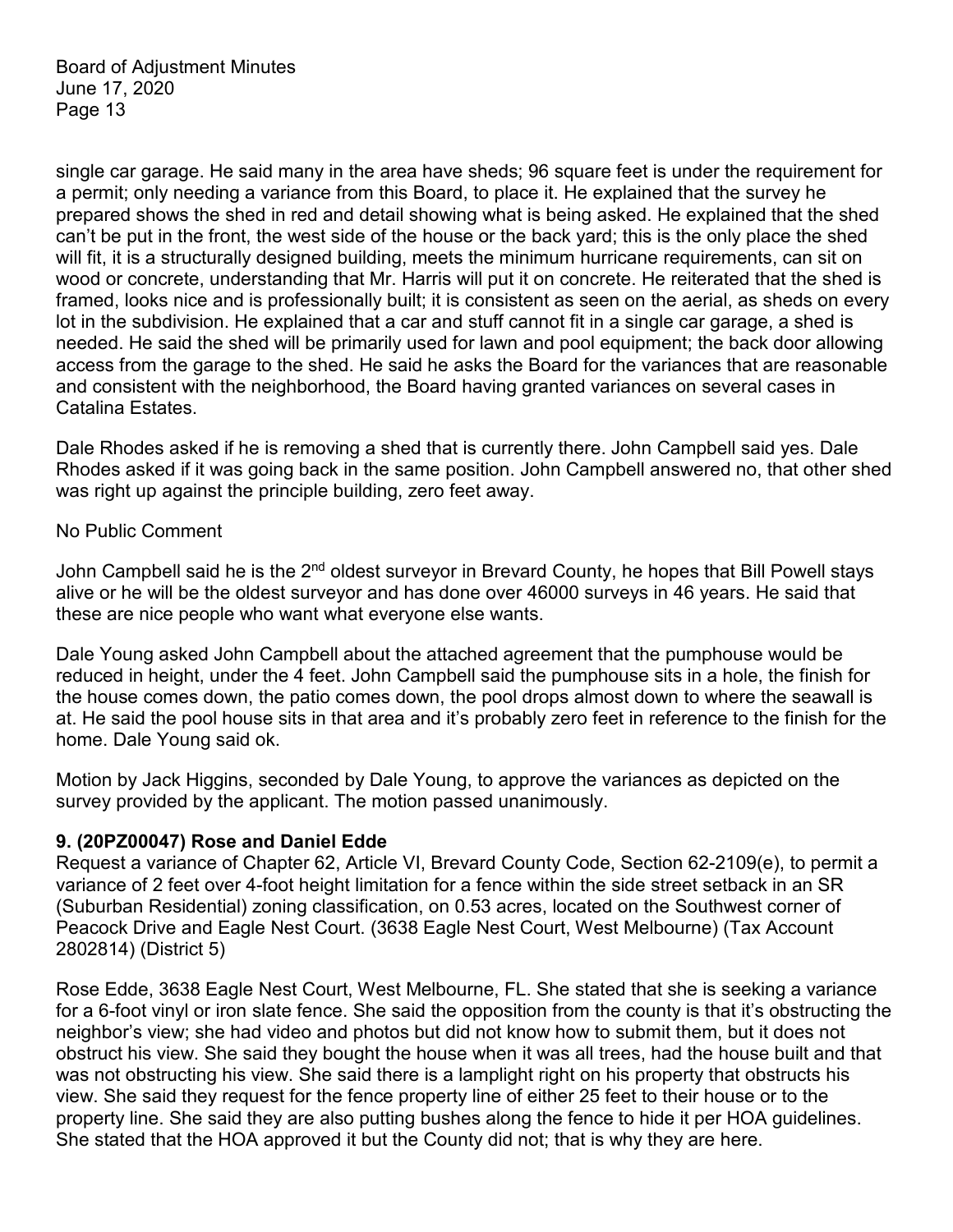single car garage. He said many in the area have sheds; 96 square feet is under the requirement for a permit; only needing a variance from this Board, to place it. He explained that the survey he prepared shows the shed in red and detail showing what is being asked. He explained that the shed can't be put in the front, the west side of the house or the back yard; this is the only place the shed will fit, it is a structurally designed building, meets the minimum hurricane requirements, can sit on wood or concrete, understanding that Mr. Harris will put it on concrete. He reiterated that the shed is framed, looks nice and is professionally built; it is consistent as seen on the aerial, as sheds on every lot in the subdivision. He explained that a car and stuff cannot fit in a single car garage, a shed is needed. He said the shed will be primarily used for lawn and pool equipment; the back door allowing access from the garage to the shed. He said he asks the Board for the variances that are reasonable and consistent with the neighborhood, the Board having granted variances on several cases in Catalina Estates.

Dale Rhodes asked if he is removing a shed that is currently there. John Campbell said yes. Dale Rhodes asked if it was going back in the same position. John Campbell answered no, that other shed was right up against the principle building, zero feet away.

#### No Public Comment

John Campbell said he is the 2<sup>nd</sup> oldest surveyor in Brevard County, he hopes that Bill Powell stays alive or he will be the oldest surveyor and has done over 46000 surveys in 46 years. He said that these are nice people who want what everyone else wants.

Dale Young asked John Campbell about the attached agreement that the pumphouse would be reduced in height, under the 4 feet. John Campbell said the pumphouse sits in a hole, the finish for the house comes down, the patio comes down, the pool drops almost down to where the seawall is at. He said the pool house sits in that area and it's probably zero feet in reference to the finish for the home. Dale Young said ok.

Motion by Jack Higgins, seconded by Dale Young, to approve the variances as depicted on the survey provided by the applicant. The motion passed unanimously.

#### **9. (20PZ00047) Rose and Daniel Edde**

Request a variance of Chapter 62, Article VI, Brevard County Code, Section 62-2109(e), to permit a variance of 2 feet over 4-foot height limitation for a fence within the side street setback in an SR (Suburban Residential) zoning classification, on 0.53 acres, located on the Southwest corner of Peacock Drive and Eagle Nest Court. (3638 Eagle Nest Court, West Melbourne) (Tax Account 2802814) (District 5)

Rose Edde, 3638 Eagle Nest Court, West Melbourne, FL. She stated that she is seeking a variance for a 6-foot vinyl or iron slate fence. She said the opposition from the county is that it's obstructing the neighbor's view; she had video and photos but did not know how to submit them, but it does not obstruct his view. She said they bought the house when it was all trees, had the house built and that was not obstructing his view. She said there is a lamplight right on his property that obstructs his view. She said they request for the fence property line of either 25 feet to their house or to the property line. She said they are also putting bushes along the fence to hide it per HOA guidelines. She stated that the HOA approved it but the County did not; that is why they are here.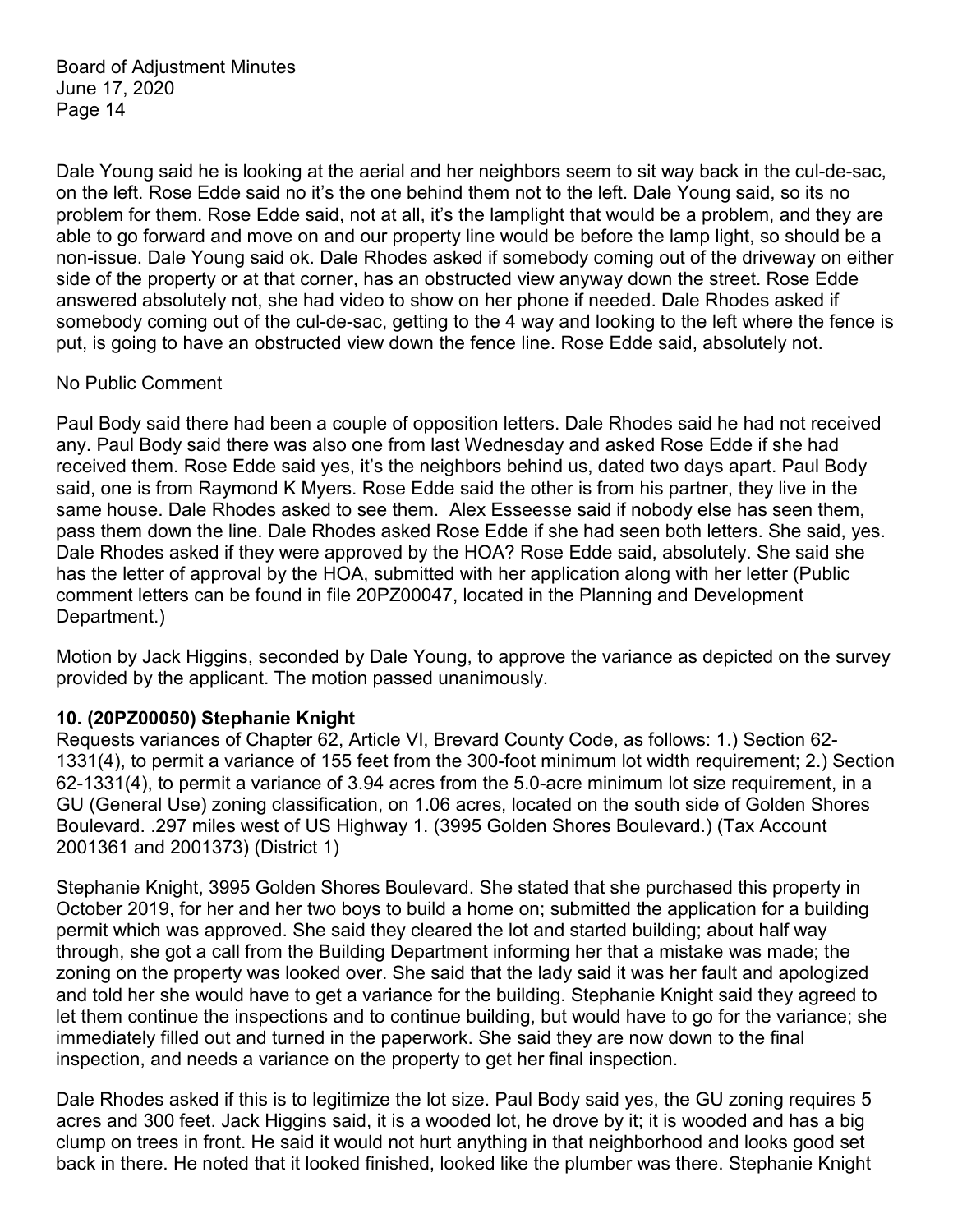Dale Young said he is looking at the aerial and her neighbors seem to sit way back in the cul-de-sac, on the left. Rose Edde said no it's the one behind them not to the left. Dale Young said, so its no problem for them. Rose Edde said, not at all, it's the lamplight that would be a problem, and they are able to go forward and move on and our property line would be before the lamp light, so should be a non-issue. Dale Young said ok. Dale Rhodes asked if somebody coming out of the driveway on either side of the property or at that corner, has an obstructed view anyway down the street. Rose Edde answered absolutely not, she had video to show on her phone if needed. Dale Rhodes asked if somebody coming out of the cul-de-sac, getting to the 4 way and looking to the left where the fence is put, is going to have an obstructed view down the fence line. Rose Edde said, absolutely not.

### No Public Comment

Paul Body said there had been a couple of opposition letters. Dale Rhodes said he had not received any. Paul Body said there was also one from last Wednesday and asked Rose Edde if she had received them. Rose Edde said yes, it's the neighbors behind us, dated two days apart. Paul Body said, one is from Raymond K Myers. Rose Edde said the other is from his partner, they live in the same house. Dale Rhodes asked to see them. Alex Esseesse said if nobody else has seen them, pass them down the line. Dale Rhodes asked Rose Edde if she had seen both letters. She said, yes. Dale Rhodes asked if they were approved by the HOA? Rose Edde said, absolutely. She said she has the letter of approval by the HOA, submitted with her application along with her letter (Public comment letters can be found in file 20PZ00047, located in the Planning and Development Department.)

Motion by Jack Higgins, seconded by Dale Young, to approve the variance as depicted on the survey provided by the applicant. The motion passed unanimously.

#### **10. (20PZ00050) Stephanie Knight**

Requests variances of Chapter 62, Article VI, Brevard County Code, as follows: 1.) Section 62- 1331(4), to permit a variance of 155 feet from the 300-foot minimum lot width requirement; 2.) Section 62-1331(4), to permit a variance of 3.94 acres from the 5.0-acre minimum lot size requirement, in a GU (General Use) zoning classification, on 1.06 acres, located on the south side of Golden Shores Boulevard. .297 miles west of US Highway 1. (3995 Golden Shores Boulevard.) (Tax Account 2001361 and 2001373) (District 1)

Stephanie Knight, 3995 Golden Shores Boulevard. She stated that she purchased this property in October 2019, for her and her two boys to build a home on; submitted the application for a building permit which was approved. She said they cleared the lot and started building; about half way through, she got a call from the Building Department informing her that a mistake was made; the zoning on the property was looked over. She said that the lady said it was her fault and apologized and told her she would have to get a variance for the building. Stephanie Knight said they agreed to let them continue the inspections and to continue building, but would have to go for the variance; she immediately filled out and turned in the paperwork. She said they are now down to the final inspection, and needs a variance on the property to get her final inspection.

Dale Rhodes asked if this is to legitimize the lot size. Paul Body said yes, the GU zoning requires 5 acres and 300 feet. Jack Higgins said, it is a wooded lot, he drove by it; it is wooded and has a big clump on trees in front. He said it would not hurt anything in that neighborhood and looks good set back in there. He noted that it looked finished, looked like the plumber was there. Stephanie Knight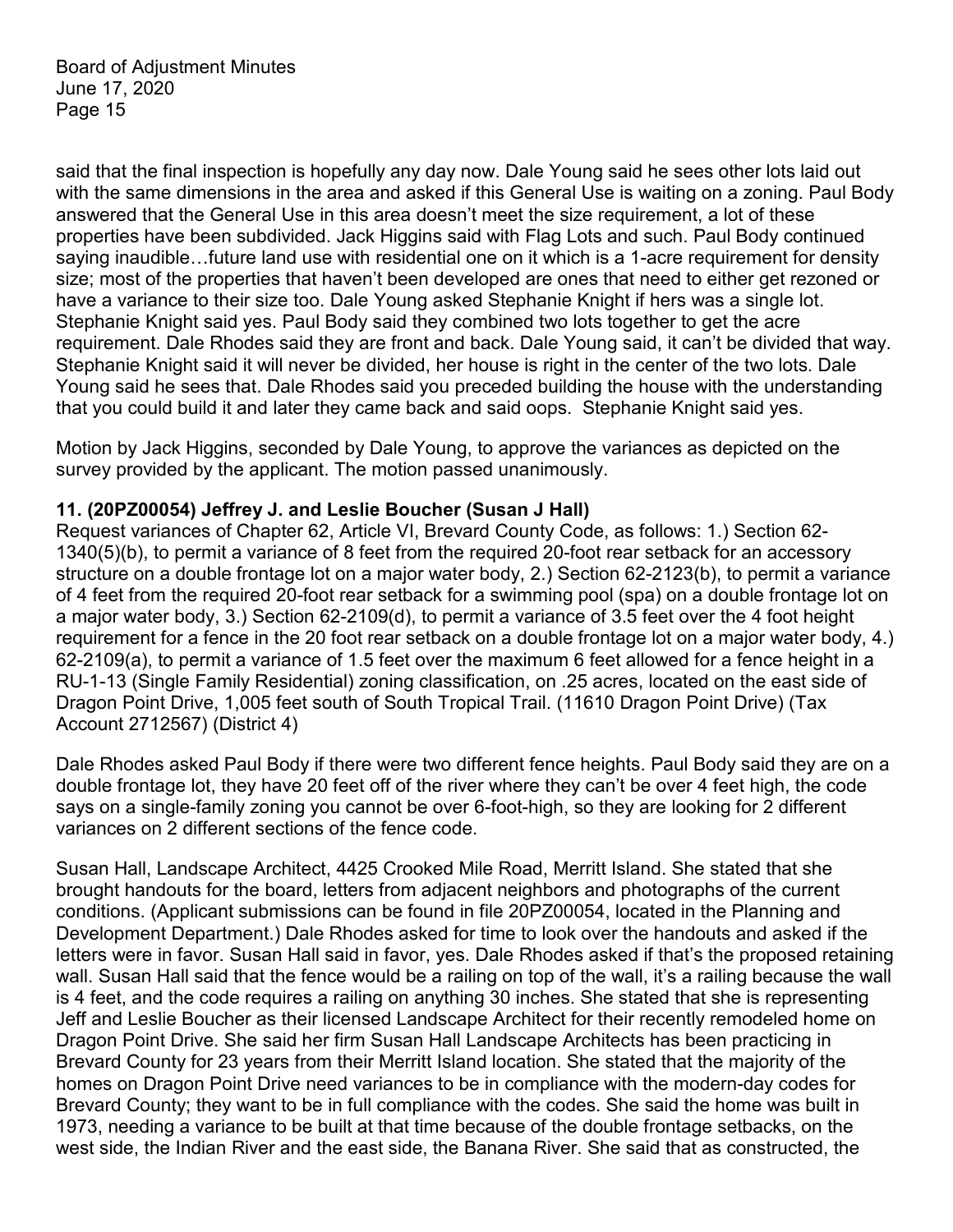said that the final inspection is hopefully any day now. Dale Young said he sees other lots laid out with the same dimensions in the area and asked if this General Use is waiting on a zoning. Paul Body answered that the General Use in this area doesn't meet the size requirement, a lot of these properties have been subdivided. Jack Higgins said with Flag Lots and such. Paul Body continued saying inaudible…future land use with residential one on it which is a 1-acre requirement for density size; most of the properties that haven't been developed are ones that need to either get rezoned or have a variance to their size too. Dale Young asked Stephanie Knight if hers was a single lot. Stephanie Knight said yes. Paul Body said they combined two lots together to get the acre requirement. Dale Rhodes said they are front and back. Dale Young said, it can't be divided that way. Stephanie Knight said it will never be divided, her house is right in the center of the two lots. Dale Young said he sees that. Dale Rhodes said you preceded building the house with the understanding that you could build it and later they came back and said oops. Stephanie Knight said yes.

Motion by Jack Higgins, seconded by Dale Young, to approve the variances as depicted on the survey provided by the applicant. The motion passed unanimously.

### **11. (20PZ00054) Jeffrey J. and Leslie Boucher (Susan J Hall)**

Request variances of Chapter 62, Article VI, Brevard County Code, as follows: 1.) Section 62- 1340(5)(b), to permit a variance of 8 feet from the required 20-foot rear setback for an accessory structure on a double frontage lot on a major water body, 2.) Section 62-2123(b), to permit a variance of 4 feet from the required 20-foot rear setback for a swimming pool (spa) on a double frontage lot on a major water body, 3.) Section 62-2109(d), to permit a variance of 3.5 feet over the 4 foot height requirement for a fence in the 20 foot rear setback on a double frontage lot on a major water body, 4.) 62-2109(a), to permit a variance of 1.5 feet over the maximum 6 feet allowed for a fence height in a RU-1-13 (Single Family Residential) zoning classification, on .25 acres, located on the east side of Dragon Point Drive, 1,005 feet south of South Tropical Trail. (11610 Dragon Point Drive) (Tax Account 2712567) (District 4)

Dale Rhodes asked Paul Body if there were two different fence heights. Paul Body said they are on a double frontage lot, they have 20 feet off of the river where they can't be over 4 feet high, the code says on a single-family zoning you cannot be over 6-foot-high, so they are looking for 2 different variances on 2 different sections of the fence code.

Susan Hall, Landscape Architect, 4425 Crooked Mile Road, Merritt Island. She stated that she brought handouts for the board, letters from adjacent neighbors and photographs of the current conditions. (Applicant submissions can be found in file 20PZ00054, located in the Planning and Development Department.) Dale Rhodes asked for time to look over the handouts and asked if the letters were in favor. Susan Hall said in favor, yes. Dale Rhodes asked if that's the proposed retaining wall. Susan Hall said that the fence would be a railing on top of the wall, it's a railing because the wall is 4 feet, and the code requires a railing on anything 30 inches. She stated that she is representing Jeff and Leslie Boucher as their licensed Landscape Architect for their recently remodeled home on Dragon Point Drive. She said her firm Susan Hall Landscape Architects has been practicing in Brevard County for 23 years from their Merritt Island location. She stated that the majority of the homes on Dragon Point Drive need variances to be in compliance with the modern-day codes for Brevard County; they want to be in full compliance with the codes. She said the home was built in 1973, needing a variance to be built at that time because of the double frontage setbacks, on the west side, the Indian River and the east side, the Banana River. She said that as constructed, the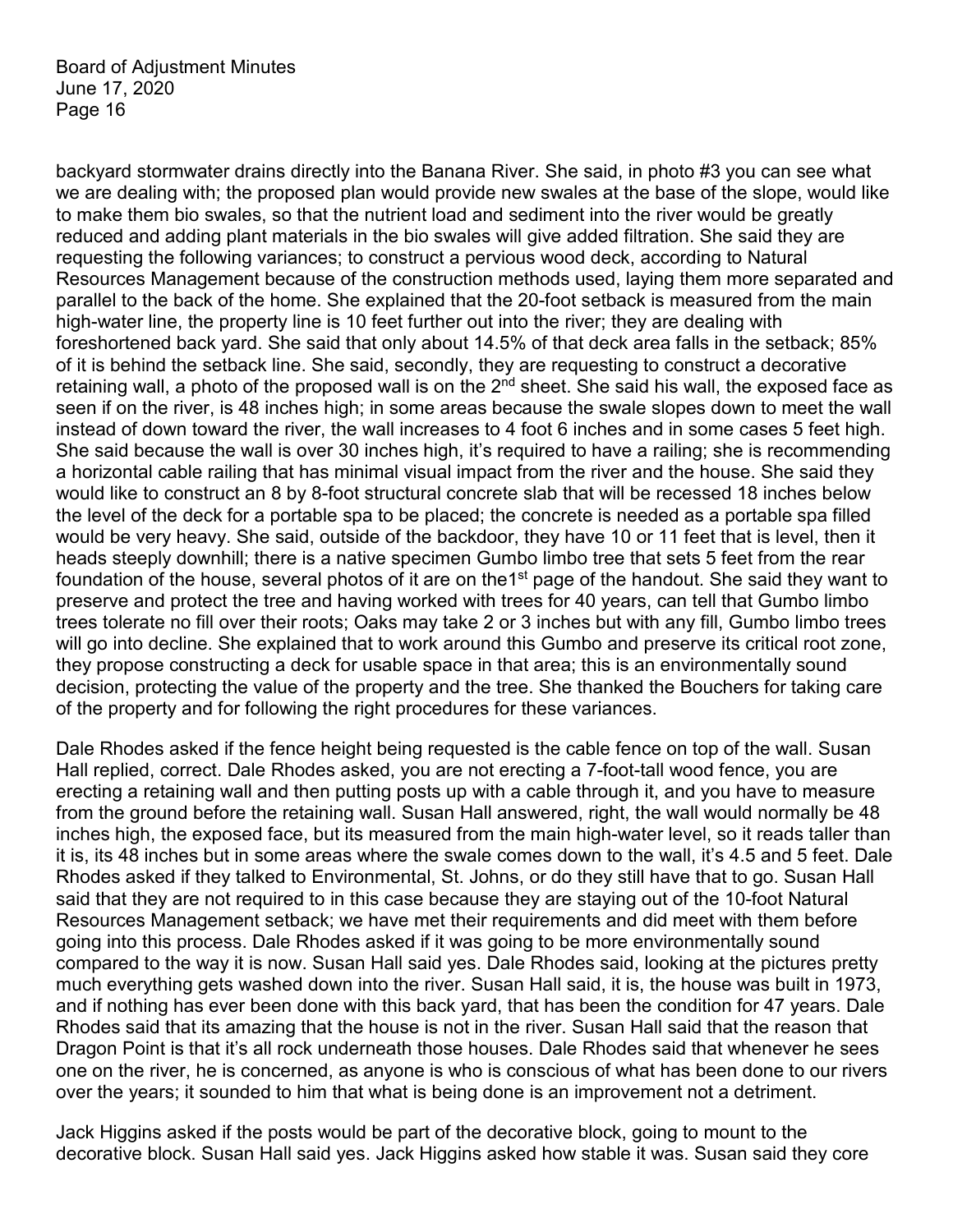backyard stormwater drains directly into the Banana River. She said, in photo #3 you can see what we are dealing with; the proposed plan would provide new swales at the base of the slope, would like to make them bio swales, so that the nutrient load and sediment into the river would be greatly reduced and adding plant materials in the bio swales will give added filtration. She said they are requesting the following variances; to construct a pervious wood deck, according to Natural Resources Management because of the construction methods used, laying them more separated and parallel to the back of the home. She explained that the 20-foot setback is measured from the main high-water line, the property line is 10 feet further out into the river; they are dealing with foreshortened back yard. She said that only about 14.5% of that deck area falls in the setback; 85% of it is behind the setback line. She said, secondly, they are requesting to construct a decorative retaining wall, a photo of the proposed wall is on the  $2<sup>nd</sup>$  sheet. She said his wall, the exposed face as seen if on the river, is 48 inches high; in some areas because the swale slopes down to meet the wall instead of down toward the river, the wall increases to 4 foot 6 inches and in some cases 5 feet high. She said because the wall is over 30 inches high, it's required to have a railing; she is recommending a horizontal cable railing that has minimal visual impact from the river and the house. She said they would like to construct an 8 by 8-foot structural concrete slab that will be recessed 18 inches below the level of the deck for a portable spa to be placed; the concrete is needed as a portable spa filled would be very heavy. She said, outside of the backdoor, they have 10 or 11 feet that is level, then it heads steeply downhill; there is a native specimen Gumbo limbo tree that sets 5 feet from the rear foundation of the house, several photos of it are on the 1<sup>st</sup> page of the handout. She said they want to preserve and protect the tree and having worked with trees for 40 years, can tell that Gumbo limbo trees tolerate no fill over their roots; Oaks may take 2 or 3 inches but with any fill, Gumbo limbo trees will go into decline. She explained that to work around this Gumbo and preserve its critical root zone, they propose constructing a deck for usable space in that area; this is an environmentally sound decision, protecting the value of the property and the tree. She thanked the Bouchers for taking care of the property and for following the right procedures for these variances.

Dale Rhodes asked if the fence height being requested is the cable fence on top of the wall. Susan Hall replied, correct. Dale Rhodes asked, you are not erecting a 7-foot-tall wood fence, you are erecting a retaining wall and then putting posts up with a cable through it, and you have to measure from the ground before the retaining wall. Susan Hall answered, right, the wall would normally be 48 inches high, the exposed face, but its measured from the main high-water level, so it reads taller than it is, its 48 inches but in some areas where the swale comes down to the wall, it's 4.5 and 5 feet. Dale Rhodes asked if they talked to Environmental, St. Johns, or do they still have that to go. Susan Hall said that they are not required to in this case because they are staying out of the 10-foot Natural Resources Management setback; we have met their requirements and did meet with them before going into this process. Dale Rhodes asked if it was going to be more environmentally sound compared to the way it is now. Susan Hall said yes. Dale Rhodes said, looking at the pictures pretty much everything gets washed down into the river. Susan Hall said, it is, the house was built in 1973, and if nothing has ever been done with this back yard, that has been the condition for 47 years. Dale Rhodes said that its amazing that the house is not in the river. Susan Hall said that the reason that Dragon Point is that it's all rock underneath those houses. Dale Rhodes said that whenever he sees one on the river, he is concerned, as anyone is who is conscious of what has been done to our rivers over the years; it sounded to him that what is being done is an improvement not a detriment.

Jack Higgins asked if the posts would be part of the decorative block, going to mount to the decorative block. Susan Hall said yes. Jack Higgins asked how stable it was. Susan said they core